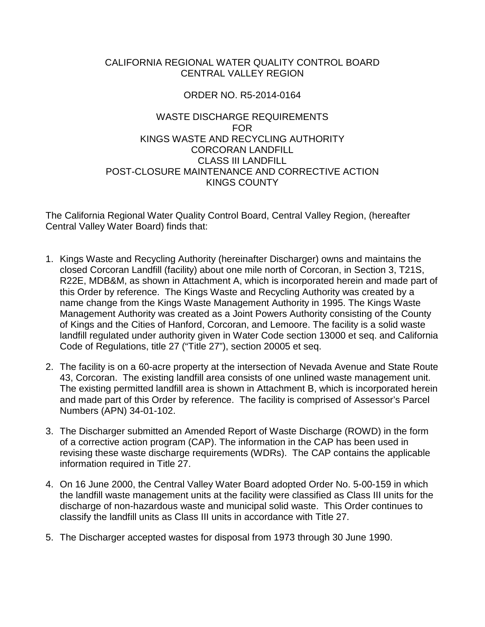## CALIFORNIA REGIONAL WATER QUALITY CONTROL BOARD CENTRAL VALLEY REGION

## ORDER NO. R5-2014-0164

## WASTE DISCHARGE REQUIREMENTS FOR KINGS WASTE AND RECYCLING AUTHORITY CORCORAN LANDFILL CLASS III LANDFILL POST-CLOSURE MAINTENANCE AND CORRECTIVE ACTION KINGS COUNTY

The California Regional Water Quality Control Board, Central Valley Region, (hereafter Central Valley Water Board) finds that:

- 1. Kings Waste and Recycling Authority (hereinafter Discharger) owns and maintains the closed Corcoran Landfill (facility) about one mile north of Corcoran, in Section 3, T21S, R22E, MDB&M, as shown in Attachment A, which is incorporated herein and made part of this Order by reference. The Kings Waste and Recycling Authority was created by a name change from the Kings Waste Management Authority in 1995. The Kings Waste Management Authority was created as a Joint Powers Authority consisting of the County of Kings and the Cities of Hanford, Corcoran, and Lemoore. The facility is a solid waste landfill regulated under authority given in Water Code section 13000 et seq. and California Code of Regulations, title 27 ("Title 27"), section 20005 et seq.
- 2. The facility is on a 60-acre property at the intersection of Nevada Avenue and State Route 43, Corcoran. The existing landfill area consists of one unlined waste management unit. The existing permitted landfill area is shown in Attachment B, which is incorporated herein and made part of this Order by reference. The facility is comprised of Assessor's Parcel Numbers (APN) 34-01-102.
- 3. The Discharger submitted an Amended Report of Waste Discharge (ROWD) in the form of a corrective action program (CAP). The information in the CAP has been used in revising these waste discharge requirements (WDRs). The CAP contains the applicable information required in Title 27.
- 4. On 16 June 2000, the Central Valley Water Board adopted Order No. 5-00-159 in which the landfill waste management units at the facility were classified as Class III units for the discharge of non-hazardous waste and municipal solid waste. This Order continues to classify the landfill units as Class III units in accordance with Title 27.
- 5. The Discharger accepted wastes for disposal from 1973 through 30 June 1990.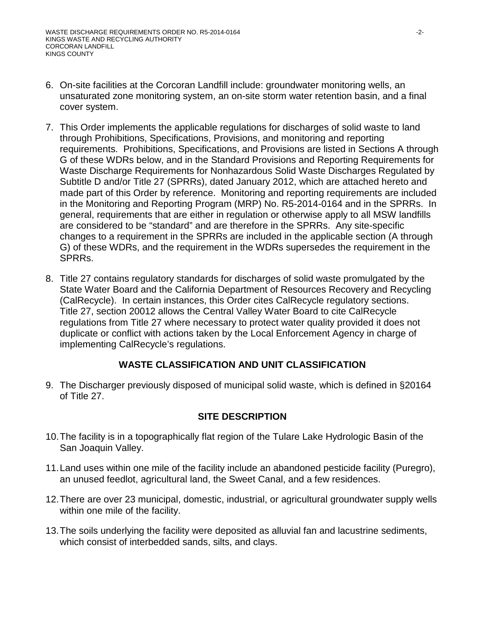- 6. On-site facilities at the Corcoran Landfill include: groundwater monitoring wells, an unsaturated zone monitoring system, an on-site storm water retention basin, and a final cover system.
- 7. This Order implements the applicable regulations for discharges of solid waste to land through Prohibitions, Specifications, Provisions, and monitoring and reporting requirements. Prohibitions, Specifications, and Provisions are listed in Sections A through G of these WDRs below, and in the Standard Provisions and Reporting Requirements for Waste Discharge Requirements for Nonhazardous Solid Waste Discharges Regulated by Subtitle D and/or Title 27 (SPRRs), dated January 2012, which are attached hereto and made part of this Order by reference. Monitoring and reporting requirements are included in the Monitoring and Reporting Program (MRP) No. R5-2014-0164 and in the SPRRs. In general, requirements that are either in regulation or otherwise apply to all MSW landfills are considered to be "standard" and are therefore in the SPRRs. Any site-specific changes to a requirement in the SPRRs are included in the applicable section (A through G) of these WDRs, and the requirement in the WDRs supersedes the requirement in the SPRRs.
- 8. Title 27 contains regulatory standards for discharges of solid waste promulgated by the State Water Board and the California Department of Resources Recovery and Recycling (CalRecycle). In certain instances, this Order cites CalRecycle regulatory sections. Title 27, section 20012 allows the Central Valley Water Board to cite CalRecycle regulations from Title 27 where necessary to protect water quality provided it does not duplicate or conflict with actions taken by the Local Enforcement Agency in charge of implementing CalRecycle's regulations.

## **WASTE CLASSIFICATION AND UNIT CLASSIFICATION**

9. The Discharger previously disposed of municipal solid waste, which is defined in §20164 of Title 27.

## **SITE DESCRIPTION**

- 10.The facility is in a topographically flat region of the Tulare Lake Hydrologic Basin of the San Joaquin Valley.
- 11. Land uses within one mile of the facility include an abandoned pesticide facility (Puregro), an unused feedlot, agricultural land, the Sweet Canal, and a few residences.
- 12.There are over 23 municipal, domestic, industrial, or agricultural groundwater supply wells within one mile of the facility.
- 13.The soils underlying the facility were deposited as alluvial fan and lacustrine sediments, which consist of interbedded sands, silts, and clays.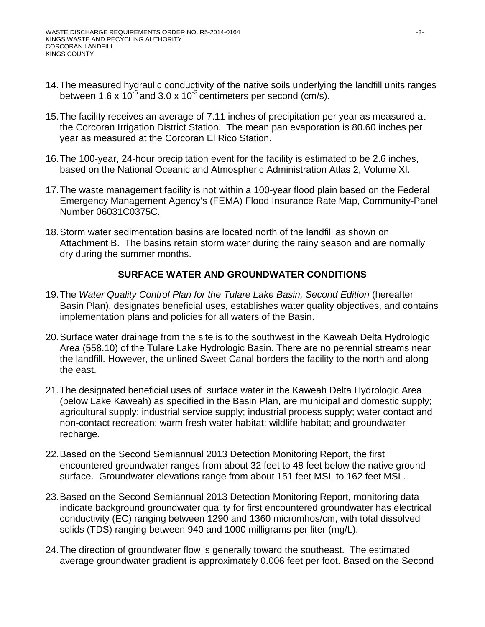- 14.The measured hydraulic conductivity of the native soils underlying the landfill units ranges between 1.6 x 10<sup>-6</sup> and 3.0 x 10<sup>-3</sup> centimeters per second (cm/s).
- 15.The facility receives an average of 7.11 inches of precipitation per year as measured at the Corcoran Irrigation District Station. The mean pan evaporation is 80.60 inches per year as measured at the Corcoran El Rico Station.
- 16.The 100-year, 24-hour precipitation event for the facility is estimated to be 2.6 inches, based on the National Oceanic and Atmospheric Administration Atlas 2, Volume XI.
- 17.The waste management facility is not within a 100-year flood plain based on the Federal Emergency Management Agency's (FEMA) Flood Insurance Rate Map, Community-Panel Number 06031C0375C.
- 18.Storm water sedimentation basins are located north of the landfill as shown on Attachment B. The basins retain storm water during the rainy season and are normally dry during the summer months.

## **SURFACE WATER AND GROUNDWATER CONDITIONS**

- 19.The *Water Quality Control Plan for the Tulare Lake Basin, Second Edition* (hereafter Basin Plan), designates beneficial uses, establishes water quality objectives, and contains implementation plans and policies for all waters of the Basin.
- 20.Surface water drainage from the site is to the southwest in the Kaweah Delta Hydrologic Area (558.10) of the Tulare Lake Hydrologic Basin. There are no perennial streams near the landfill. However, the unlined Sweet Canal borders the facility to the north and along the east.
- 21.The designated beneficial uses of surface water in the Kaweah Delta Hydrologic Area (below Lake Kaweah) as specified in the Basin Plan, are municipal and domestic supply; agricultural supply; industrial service supply; industrial process supply; water contact and non-contact recreation; warm fresh water habitat; wildlife habitat; and groundwater recharge.
- 22.Based on the Second Semiannual 2013 Detection Monitoring Report, the first encountered groundwater ranges from about 32 feet to 48 feet below the native ground surface. Groundwater elevations range from about 151 feet MSL to 162 feet MSL.
- 23.Based on the Second Semiannual 2013 Detection Monitoring Report, monitoring data indicate background groundwater quality for first encountered groundwater has electrical conductivity (EC) ranging between 1290 and 1360 micromhos/cm, with total dissolved solids (TDS) ranging between 940 and 1000 milligrams per liter (mg/L).
- 24.The direction of groundwater flow is generally toward the southeast. The estimated average groundwater gradient is approximately 0.006 feet per foot. Based on the Second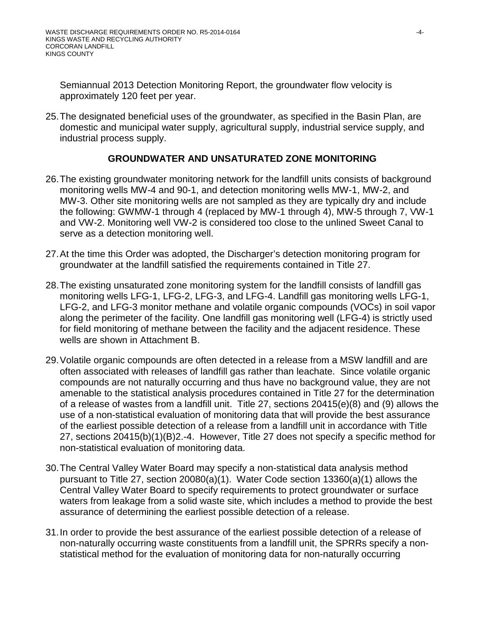Semiannual 2013 Detection Monitoring Report, the groundwater flow velocity is approximately 120 feet per year.

25.The designated beneficial uses of the groundwater, as specified in the Basin Plan, are domestic and municipal water supply, agricultural supply, industrial service supply, and industrial process supply.

## **GROUNDWATER AND UNSATURATED ZONE MONITORING**

- 26.The existing groundwater monitoring network for the landfill units consists of background monitoring wells MW-4 and 90-1, and detection monitoring wells MW-1, MW-2, and MW-3. Other site monitoring wells are not sampled as they are typically dry and include the following: GWMW-1 through 4 (replaced by MW-1 through 4), MW-5 through 7, VW-1 and VW-2. Monitoring well VW-2 is considered too close to the unlined Sweet Canal to serve as a detection monitoring well.
- 27.At the time this Order was adopted, the Discharger's detection monitoring program for groundwater at the landfill satisfied the requirements contained in Title 27.
- 28.The existing unsaturated zone monitoring system for the landfill consists of landfill gas monitoring wells LFG-1, LFG-2, LFG-3, and LFG-4. Landfill gas monitoring wells LFG-1, LFG-2, and LFG-3 monitor methane and volatile organic compounds (VOCs) in soil vapor along the perimeter of the facility. One landfill gas monitoring well (LFG-4) is strictly used for field monitoring of methane between the facility and the adjacent residence. These wells are shown in Attachment B.
- 29.Volatile organic compounds are often detected in a release from a MSW landfill and are often associated with releases of landfill gas rather than leachate. Since volatile organic compounds are not naturally occurring and thus have no background value, they are not amenable to the statistical analysis procedures contained in Title 27 for the determination of a release of wastes from a landfill unit. Title 27, sections 20415(e)(8) and (9) allows the use of a non-statistical evaluation of monitoring data that will provide the best assurance of the earliest possible detection of a release from a landfill unit in accordance with Title 27, sections 20415(b)(1)(B)2.-4. However, Title 27 does not specify a specific method for non-statistical evaluation of monitoring data.
- 30.The Central Valley Water Board may specify a non-statistical data analysis method pursuant to Title 27, section 20080(a)(1). Water Code section 13360(a)(1) allows the Central Valley Water Board to specify requirements to protect groundwater or surface waters from leakage from a solid waste site, which includes a method to provide the best assurance of determining the earliest possible detection of a release.
- 31.In order to provide the best assurance of the earliest possible detection of a release of non-naturally occurring waste constituents from a landfill unit, the SPRRs specify a nonstatistical method for the evaluation of monitoring data for non-naturally occurring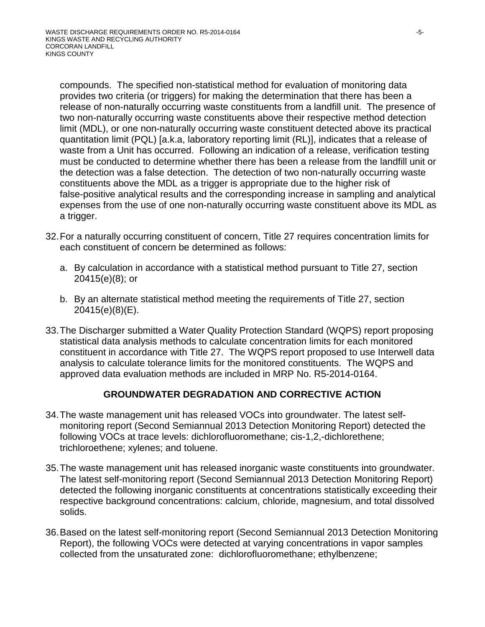compounds. The specified non-statistical method for evaluation of monitoring data provides two criteria (or triggers) for making the determination that there has been a release of non-naturally occurring waste constituents from a landfill unit. The presence of two non-naturally occurring waste constituents above their respective method detection limit (MDL), or one non-naturally occurring waste constituent detected above its practical quantitation limit (PQL) [a.k.a, laboratory reporting limit (RL)], indicates that a release of waste from a Unit has occurred. Following an indication of a release, verification testing must be conducted to determine whether there has been a release from the landfill unit or the detection was a false detection. The detection of two non-naturally occurring waste constituents above the MDL as a trigger is appropriate due to the higher risk of false-positive analytical results and the corresponding increase in sampling and analytical expenses from the use of one non-naturally occurring waste constituent above its MDL as a trigger.

- 32.For a naturally occurring constituent of concern, Title 27 requires concentration limits for each constituent of concern be determined as follows:
	- a. By calculation in accordance with a statistical method pursuant to Title 27, section 20415(e)(8); or
	- b. By an alternate statistical method meeting the requirements of Title 27, section 20415(e)(8)(E).
- 33.The Discharger submitted a Water Quality Protection Standard (WQPS) report proposing statistical data analysis methods to calculate concentration limits for each monitored constituent in accordance with Title 27. The WQPS report proposed to use Interwell data analysis to calculate tolerance limits for the monitored constituents. The WQPS and approved data evaluation methods are included in MRP No. R5-2014-0164.

## **GROUNDWATER DEGRADATION AND CORRECTIVE ACTION**

- 34.The waste management unit has released VOCs into groundwater. The latest selfmonitoring report (Second Semiannual 2013 Detection Monitoring Report) detected the following VOCs at trace levels: dichlorofluoromethane; cis-1,2,-dichlorethene; trichloroethene; xylenes; and toluene.
- 35.The waste management unit has released inorganic waste constituents into groundwater. The latest self-monitoring report (Second Semiannual 2013 Detection Monitoring Report) detected the following inorganic constituents at concentrations statistically exceeding their respective background concentrations: calcium, chloride, magnesium, and total dissolved solids.
- 36.Based on the latest self-monitoring report (Second Semiannual 2013 Detection Monitoring Report), the following VOCs were detected at varying concentrations in vapor samples collected from the unsaturated zone: dichlorofluoromethane; ethylbenzene;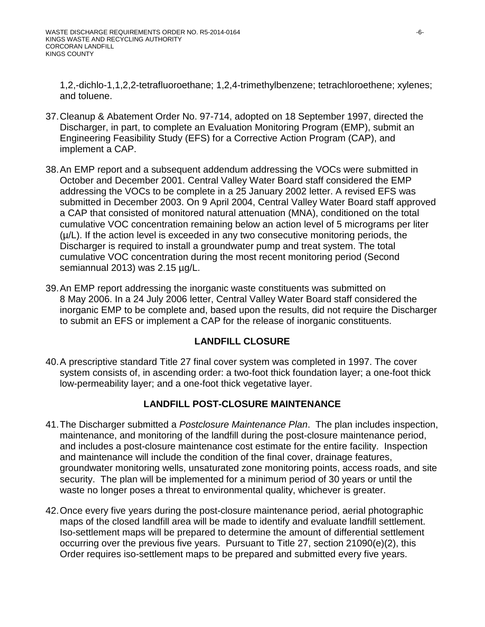1,2,-dichlo-1,1,2,2-tetrafluoroethane; 1,2,4-trimethylbenzene; tetrachloroethene; xylenes; and toluene.

- 37.Cleanup & Abatement Order No. 97-714, adopted on 18 September 1997, directed the Discharger, in part, to complete an Evaluation Monitoring Program (EMP), submit an Engineering Feasibility Study (EFS) for a Corrective Action Program (CAP), and implement a CAP.
- 38.An EMP report and a subsequent addendum addressing the VOCs were submitted in October and December 2001. Central Valley Water Board staff considered the EMP addressing the VOCs to be complete in a 25 January 2002 letter. A revised EFS was submitted in December 2003. On 9 April 2004, Central Valley Water Board staff approved a CAP that consisted of monitored natural attenuation (MNA), conditioned on the total cumulative VOC concentration remaining below an action level of 5 micrograms per liter  $(\mu/L)$ . If the action level is exceeded in any two consecutive monitoring periods, the Discharger is required to install a groundwater pump and treat system. The total cumulative VOC concentration during the most recent monitoring period (Second semiannual 2013) was 2.15 µg/L.
- 39. An EMP report addressing the inorganic waste constituents was submitted on 8 May 2006. In a 24 July 2006 letter, Central Valley Water Board staff considered the inorganic EMP to be complete and, based upon the results, did not require the Discharger to submit an EFS or implement a CAP for the release of inorganic constituents.

## **LANDFILL CLOSURE**

40.A prescriptive standard Title 27 final cover system was completed in 1997. The cover system consists of, in ascending order: a two-foot thick foundation layer; a one-foot thick low-permeability layer; and a one-foot thick vegetative layer.

## **LANDFILL POST-CLOSURE MAINTENANCE**

- 41.The Discharger submitted a *Postclosure Maintenance Plan*. The plan includes inspection, maintenance, and monitoring of the landfill during the post-closure maintenance period, and includes a post-closure maintenance cost estimate for the entire facility. Inspection and maintenance will include the condition of the final cover, drainage features, groundwater monitoring wells, unsaturated zone monitoring points, access roads, and site security. The plan will be implemented for a minimum period of 30 years or until the waste no longer poses a threat to environmental quality, whichever is greater.
- 42.Once every five years during the post-closure maintenance period, aerial photographic maps of the closed landfill area will be made to identify and evaluate landfill settlement. Iso-settlement maps will be prepared to determine the amount of differential settlement occurring over the previous five years. Pursuant to Title 27, section 21090(e)(2), this Order requires iso-settlement maps to be prepared and submitted every five years.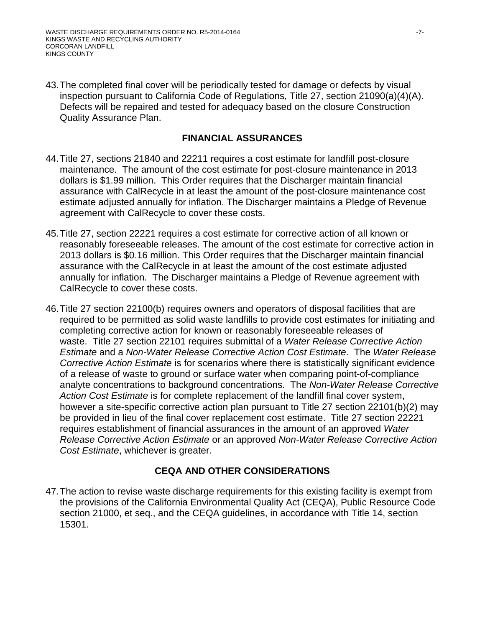43.The completed final cover will be periodically tested for damage or defects by visual inspection pursuant to California Code of Regulations, Title 27, section 21090(a)(4)(A). Defects will be repaired and tested for adequacy based on the closure Construction Quality Assurance Plan.

### **FINANCIAL ASSURANCES**

- 44.Title 27, sections 21840 and 22211 requires a cost estimate for landfill post-closure maintenance. The amount of the cost estimate for post-closure maintenance in 2013 dollars is \$1.99 million. This Order requires that the Discharger maintain financial assurance with CalRecycle in at least the amount of the post-closure maintenance cost estimate adjusted annually for inflation. The Discharger maintains a Pledge of Revenue agreement with CalRecycle to cover these costs.
- 45.Title 27, section 22221 requires a cost estimate for corrective action of all known or reasonably foreseeable releases. The amount of the cost estimate for corrective action in 2013 dollars is \$0.16 million. This Order requires that the Discharger maintain financial assurance with the CalRecycle in at least the amount of the cost estimate adjusted annually for inflation. The Discharger maintains a Pledge of Revenue agreement with CalRecycle to cover these costs.
- 46.Title 27 section 22100(b) requires owners and operators of disposal facilities that are required to be permitted as solid waste landfills to provide cost estimates for initiating and completing corrective action for known or reasonably foreseeable releases of waste. Title 27 section 22101 requires submittal of a *Water Release Corrective Action Estimate* and a *Non-Water Release Corrective Action Cost Estimate*. The *Water Release Corrective Action Estimate* is for scenarios where there is statistically significant evidence of a release of waste to ground or surface water when comparing point-of-compliance analyte concentrations to background concentrations. The *Non-Water Release Corrective Action Cost Estimate* is for complete replacement of the landfill final cover system, however a site-specific corrective action plan pursuant to Title 27 section 22101(b)(2) may be provided in lieu of the final cover replacement cost estimate. Title 27 section 22221 requires establishment of financial assurances in the amount of an approved *Water Release Corrective Action Estimate* or an approved *Non-Water Release Corrective Action Cost Estimate*, whichever is greater.

## **CEQA AND OTHER CONSIDERATIONS**

47.The action to revise waste discharge requirements for this existing facility is exempt from the provisions of the California Environmental Quality Act (CEQA), Public Resource Code section 21000, et seq., and the CEQA guidelines, in accordance with Title 14, section 15301.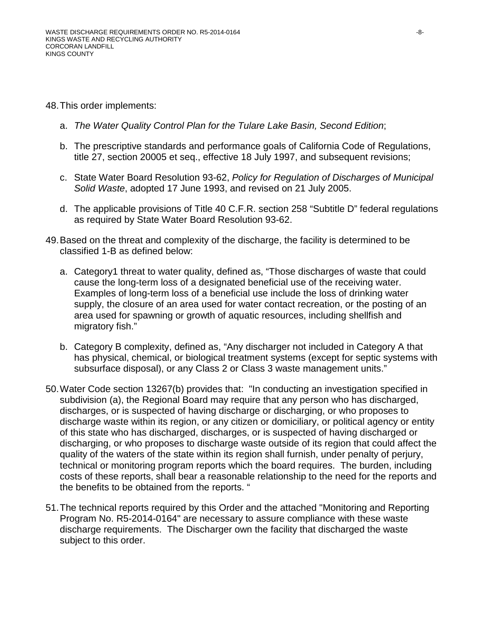- 48.This order implements:
	- a. *The Water Quality Control Plan for the Tulare Lake Basin, Second Edition*;
	- b. The prescriptive standards and performance goals of California Code of Regulations, title 27, section 20005 et seq., effective 18 July 1997, and subsequent revisions;
	- c. State Water Board Resolution 93-62, *Policy for Regulation of Discharges of Municipal Solid Waste*, adopted 17 June 1993, and revised on 21 July 2005.
	- d. The applicable provisions of Title 40 C.F.R. section 258 "Subtitle D" federal regulations as required by State Water Board Resolution 93-62.
- 49.Based on the threat and complexity of the discharge, the facility is determined to be classified 1-B as defined below:
	- a. Category1 threat to water quality, defined as, "Those discharges of waste that could cause the long-term loss of a designated beneficial use of the receiving water. Examples of long-term loss of a beneficial use include the loss of drinking water supply, the closure of an area used for water contact recreation, or the posting of an area used for spawning or growth of aquatic resources, including shellfish and migratory fish."
	- b. Category B complexity, defined as, "Any discharger not included in Category A that has physical, chemical, or biological treatment systems (except for septic systems with subsurface disposal), or any Class 2 or Class 3 waste management units."
- 50.Water Code section 13267(b) provides that: "In conducting an investigation specified in subdivision (a), the Regional Board may require that any person who has discharged, discharges, or is suspected of having discharge or discharging, or who proposes to discharge waste within its region, or any citizen or domiciliary, or political agency or entity of this state who has discharged, discharges, or is suspected of having discharged or discharging, or who proposes to discharge waste outside of its region that could affect the quality of the waters of the state within its region shall furnish, under penalty of perjury, technical or monitoring program reports which the board requires. The burden, including costs of these reports, shall bear a reasonable relationship to the need for the reports and the benefits to be obtained from the reports. "
- 51.The technical reports required by this Order and the attached "Monitoring and Reporting Program No. R5-2014-0164" are necessary to assure compliance with these waste discharge requirements. The Discharger own the facility that discharged the waste subject to this order.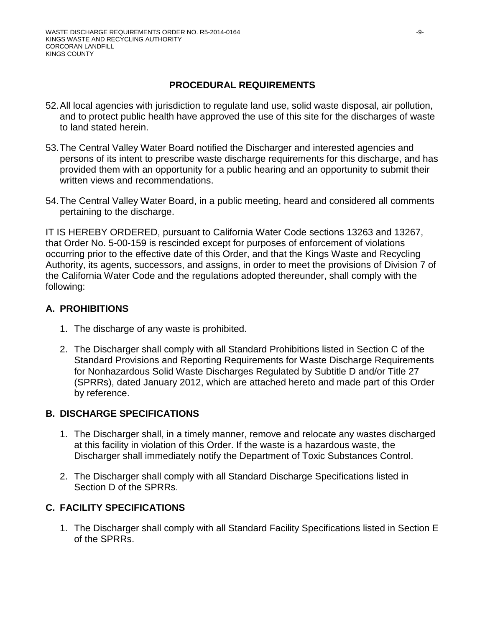## **PROCEDURAL REQUIREMENTS**

- 52.All local agencies with jurisdiction to regulate land use, solid waste disposal, air pollution, and to protect public health have approved the use of this site for the discharges of waste to land stated herein.
- 53.The Central Valley Water Board notified the Discharger and interested agencies and persons of its intent to prescribe waste discharge requirements for this discharge, and has provided them with an opportunity for a public hearing and an opportunity to submit their written views and recommendations.
- 54.The Central Valley Water Board, in a public meeting, heard and considered all comments pertaining to the discharge.

IT IS HEREBY ORDERED, pursuant to California Water Code sections 13263 and 13267, that Order No. 5-00-159 is rescinded except for purposes of enforcement of violations occurring prior to the effective date of this Order, and that the Kings Waste and Recycling Authority, its agents, successors, and assigns, in order to meet the provisions of Division 7 of the California Water Code and the regulations adopted thereunder, shall comply with the following:

## **A. PROHIBITIONS**

- 1. The discharge of any waste is prohibited.
- 2. The Discharger shall comply with all Standard Prohibitions listed in Section C of the Standard Provisions and Reporting Requirements for Waste Discharge Requirements for Nonhazardous Solid Waste Discharges Regulated by Subtitle D and/or Title 27 (SPRRs), dated January 2012, which are attached hereto and made part of this Order by reference.

## **B. DISCHARGE SPECIFICATIONS**

- 1. The Discharger shall, in a timely manner, remove and relocate any wastes discharged at this facility in violation of this Order. If the waste is a hazardous waste, the Discharger shall immediately notify the Department of Toxic Substances Control.
- 2. The Discharger shall comply with all Standard Discharge Specifications listed in Section D of the SPRRs.

# **C. FACILITY SPECIFICATIONS**

1. The Discharger shall comply with all Standard Facility Specifications listed in Section E of the SPRRs.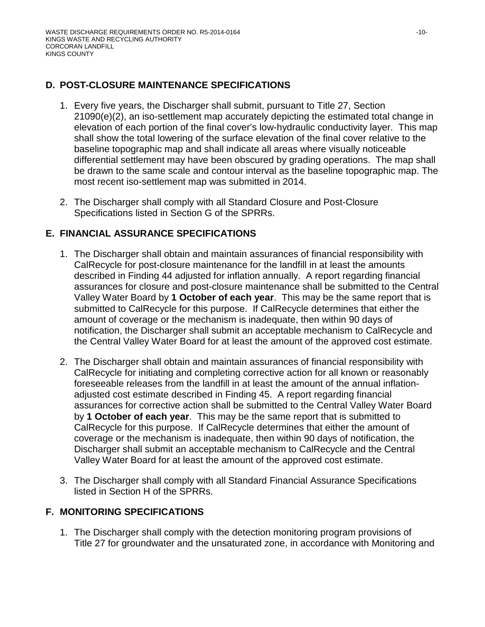## **D. POST-CLOSURE MAINTENANCE SPECIFICATIONS**

- 1. Every five years, the Discharger shall submit, pursuant to Title 27, Section 21090(e)(2), an iso-settlement map accurately depicting the estimated total change in elevation of each portion of the final cover's low-hydraulic conductivity layer. This map shall show the total lowering of the surface elevation of the final cover relative to the baseline topographic map and shall indicate all areas where visually noticeable differential settlement may have been obscured by grading operations. The map shall be drawn to the same scale and contour interval as the baseline topographic map. The most recent iso-settlement map was submitted in 2014.
- 2. The Discharger shall comply with all Standard Closure and Post-Closure Specifications listed in Section G of the SPRRs.

## **E. FINANCIAL ASSURANCE SPECIFICATIONS**

- 1. The Discharger shall obtain and maintain assurances of financial responsibility with CalRecycle for post-closure maintenance for the landfill in at least the amounts described in Finding 44 adjusted for inflation annually. A report regarding financial assurances for closure and post-closure maintenance shall be submitted to the Central Valley Water Board by **1 October of each year**. This may be the same report that is submitted to CalRecycle for this purpose. If CalRecycle determines that either the amount of coverage or the mechanism is inadequate, then within 90 days of notification, the Discharger shall submit an acceptable mechanism to CalRecycle and the Central Valley Water Board for at least the amount of the approved cost estimate.
- 2. The Discharger shall obtain and maintain assurances of financial responsibility with CalRecycle for initiating and completing corrective action for all known or reasonably foreseeable releases from the landfill in at least the amount of the annual inflationadjusted cost estimate described in Finding 45. A report regarding financial assurances for corrective action shall be submitted to the Central Valley Water Board by **1 October of each year**. This may be the same report that is submitted to CalRecycle for this purpose. If CalRecycle determines that either the amount of coverage or the mechanism is inadequate, then within 90 days of notification, the Discharger shall submit an acceptable mechanism to CalRecycle and the Central Valley Water Board for at least the amount of the approved cost estimate.
- 3. The Discharger shall comply with all Standard Financial Assurance Specifications listed in Section H of the SPRRs.

## **F. MONITORING SPECIFICATIONS**

1. The Discharger shall comply with the detection monitoring program provisions of Title 27 for groundwater and the unsaturated zone, in accordance with Monitoring and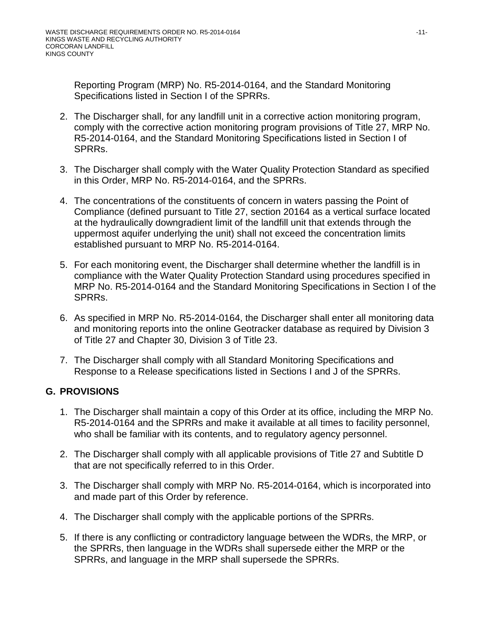Reporting Program (MRP) No. R5-2014-0164, and the Standard Monitoring Specifications listed in Section I of the SPRRs.

- 2. The Discharger shall, for any landfill unit in a corrective action monitoring program, comply with the corrective action monitoring program provisions of Title 27, MRP No. R5-2014-0164, and the Standard Monitoring Specifications listed in Section I of SPRRs.
- 3. The Discharger shall comply with the Water Quality Protection Standard as specified in this Order, MRP No. R5-2014-0164, and the SPRRs.
- 4. The concentrations of the constituents of concern in waters passing the Point of Compliance (defined pursuant to Title 27, section 20164 as a vertical surface located at the hydraulically downgradient limit of the landfill unit that extends through the uppermost aquifer underlying the unit) shall not exceed the concentration limits established pursuant to MRP No. R5-2014-0164.
- 5. For each monitoring event, the Discharger shall determine whether the landfill is in compliance with the Water Quality Protection Standard using procedures specified in MRP No. R5-2014-0164 and the Standard Monitoring Specifications in Section I of the SPRRs.
- 6. As specified in MRP No. R5-2014-0164, the Discharger shall enter all monitoring data and monitoring reports into the online Geotracker database as required by Division 3 of Title 27 and Chapter 30, Division 3 of Title 23.
- 7. The Discharger shall comply with all Standard Monitoring Specifications and Response to a Release specifications listed in Sections I and J of the SPRRs.

## **G. PROVISIONS**

- 1. The Discharger shall maintain a copy of this Order at its office, including the MRP No. R5-2014-0164 and the SPRRs and make it available at all times to facility personnel, who shall be familiar with its contents, and to regulatory agency personnel.
- 2. The Discharger shall comply with all applicable provisions of Title 27 and Subtitle D that are not specifically referred to in this Order.
- 3. The Discharger shall comply with MRP No. R5-2014-0164, which is incorporated into and made part of this Order by reference.
- 4. The Discharger shall comply with the applicable portions of the SPRRs.
- 5. If there is any conflicting or contradictory language between the WDRs, the MRP, or the SPRRs, then language in the WDRs shall supersede either the MRP or the SPRRs, and language in the MRP shall supersede the SPRRs.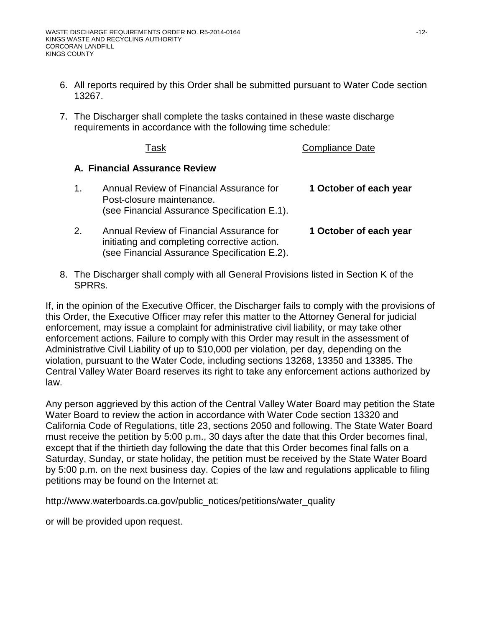- 6. All reports required by this Order shall be submitted pursuant to Water Code section 13267.
- 7. The Discharger shall complete the tasks contained in these waste discharge requirements in accordance with the following time schedule:

Compliance Date

## **A. Financial Assurance Review**

| $1_{-}$ | Annual Review of Financial Assurance for<br>Post-closure maintenance.<br>(see Financial Assurance Specification E.1). | 1 October of each year |
|---------|-----------------------------------------------------------------------------------------------------------------------|------------------------|
| 2.      | Annual Review of Financial Assurance for<br>initiating and completing corrective action.                              | 1 October of each year |

8. The Discharger shall comply with all General Provisions listed in Section K of the SPRRs.

(see Financial Assurance Specification E.2).

If, in the opinion of the Executive Officer, the Discharger fails to comply with the provisions of this Order, the Executive Officer may refer this matter to the Attorney General for judicial enforcement, may issue a complaint for administrative civil liability, or may take other enforcement actions. Failure to comply with this Order may result in the assessment of Administrative Civil Liability of up to \$10,000 per violation, per day, depending on the violation, pursuant to the Water Code, including sections 13268, 13350 and 13385. The Central Valley Water Board reserves its right to take any enforcement actions authorized by law.

Any person aggrieved by this action of the Central Valley Water Board may petition the State Water Board to review the action in accordance with Water Code section 13320 and California Code of Regulations, title 23, sections 2050 and following. The State Water Board must receive the petition by 5:00 p.m., 30 days after the date that this Order becomes final, except that if the thirtieth day following the date that this Order becomes final falls on a Saturday, Sunday, or state holiday, the petition must be received by the State Water Board by 5:00 p.m. on the next business day. Copies of the law and regulations applicable to filing petitions may be found on the Internet at:

http://www.waterboards.ca.gov/public\_notices/petitions/water\_quality

or will be provided upon request.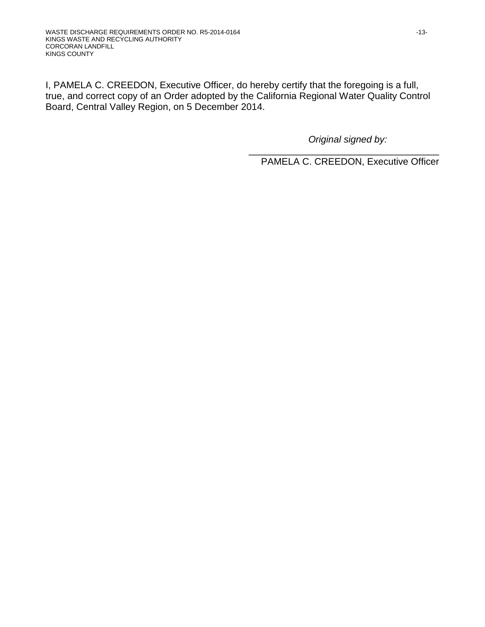I, PAMELA C. CREEDON, Executive Officer, do hereby certify that the foregoing is a full, true, and correct copy of an Order adopted by the California Regional Water Quality Control Board, Central Valley Region, on 5 December 2014.

*Original signed by:*

\_\_\_\_\_\_\_\_\_\_\_\_\_\_\_\_\_\_\_\_\_\_\_\_\_\_\_\_\_\_\_\_\_\_\_\_ PAMELA C. CREEDON, Executive Officer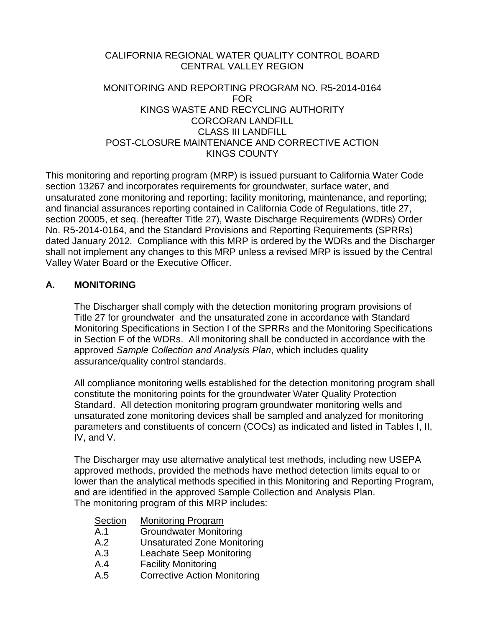# CALIFORNIA REGIONAL WATER QUALITY CONTROL BOARD CENTRAL VALLEY REGION

### MONITORING AND REPORTING PROGRAM NO. R5-2014-0164 FOR KINGS WASTE AND RECYCLING AUTHORITY CORCORAN LANDFILL CLASS III LANDFILL POST-CLOSURE MAINTENANCE AND CORRECTIVE ACTION KINGS COUNTY

This monitoring and reporting program (MRP) is issued pursuant to California Water Code section 13267 and incorporates requirements for groundwater, surface water, and unsaturated zone monitoring and reporting; facility monitoring, maintenance, and reporting; and financial assurances reporting contained in California Code of Regulations, title 27, section 20005, et seq. (hereafter Title 27), Waste Discharge Requirements (WDRs) Order No. R5-2014-0164, and the Standard Provisions and Reporting Requirements (SPRRs) dated January 2012. Compliance with this MRP is ordered by the WDRs and the Discharger shall not implement any changes to this MRP unless a revised MRP is issued by the Central Valley Water Board or the Executive Officer.

## **A. MONITORING**

The Discharger shall comply with the detection monitoring program provisions of Title 27 for groundwater and the unsaturated zone in accordance with Standard Monitoring Specifications in Section I of the SPRRs and the Monitoring Specifications in Section F of the WDRs. All monitoring shall be conducted in accordance with the approved *Sample Collection and Analysis Plan*, which includes quality assurance/quality control standards.

All compliance monitoring wells established for the detection monitoring program shall constitute the monitoring points for the groundwater Water Quality Protection Standard. All detection monitoring program groundwater monitoring wells and unsaturated zone monitoring devices shall be sampled and analyzed for monitoring parameters and constituents of concern (COCs) as indicated and listed in Tables I, II, IV, and V.

The Discharger may use alternative analytical test methods, including new USEPA approved methods, provided the methods have method detection limits equal to or lower than the analytical methods specified in this Monitoring and Reporting Program, and are identified in the approved Sample Collection and Analysis Plan. The monitoring program of this MRP includes:

| Section | <b>Monitoring Program</b>           |
|---------|-------------------------------------|
| A.1     | <b>Groundwater Monitoring</b>       |
| A.2     | <b>Unsaturated Zone Monitoring</b>  |
| A.3     | Leachate Seep Monitoring            |
| A.4     | <b>Facility Monitoring</b>          |
| A.5     | <b>Corrective Action Monitoring</b> |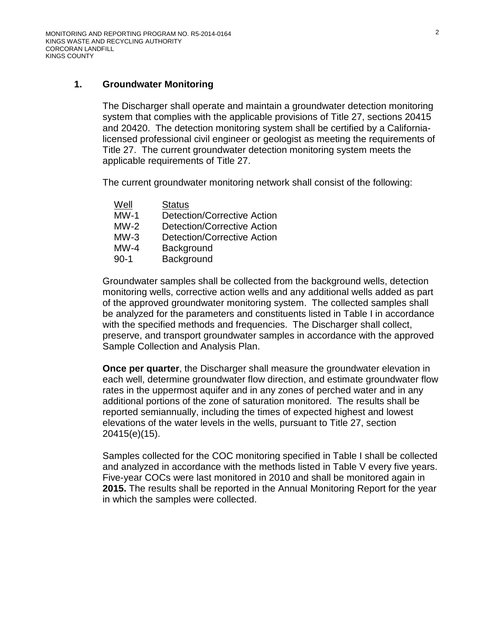## **1. Groundwater Monitoring**

The Discharger shall operate and maintain a groundwater detection monitoring system that complies with the applicable provisions of Title 27, sections 20415 and 20420. The detection monitoring system shall be certified by a Californialicensed professional civil engineer or geologist as meeting the requirements of Title 27. The current groundwater detection monitoring system meets the applicable requirements of Title 27.

The current groundwater monitoring network shall consist of the following:

| Well   | <b>Status</b>                      |
|--------|------------------------------------|
| MW-1   | <b>Detection/Corrective Action</b> |
| MW-2   | <b>Detection/Corrective Action</b> |
| $MW-3$ | Detection/Corrective Action        |
| MW-4   | Background                         |
| 90-1   | Background                         |

Groundwater samples shall be collected from the background wells, detection monitoring wells, corrective action wells and any additional wells added as part of the approved groundwater monitoring system. The collected samples shall be analyzed for the parameters and constituents listed in Table I in accordance with the specified methods and frequencies. The Discharger shall collect, preserve, and transport groundwater samples in accordance with the approved Sample Collection and Analysis Plan.

**Once per quarter**, the Discharger shall measure the groundwater elevation in each well, determine groundwater flow direction, and estimate groundwater flow rates in the uppermost aquifer and in any zones of perched water and in any additional portions of the zone of saturation monitored. The results shall be reported semiannually, including the times of expected highest and lowest elevations of the water levels in the wells, pursuant to Title 27, section 20415(e)(15).

Samples collected for the COC monitoring specified in Table I shall be collected and analyzed in accordance with the methods listed in Table V every five years. Five-year COCs were last monitored in 2010 and shall be monitored again in **2015.** The results shall be reported in the Annual Monitoring Report for the year in which the samples were collected.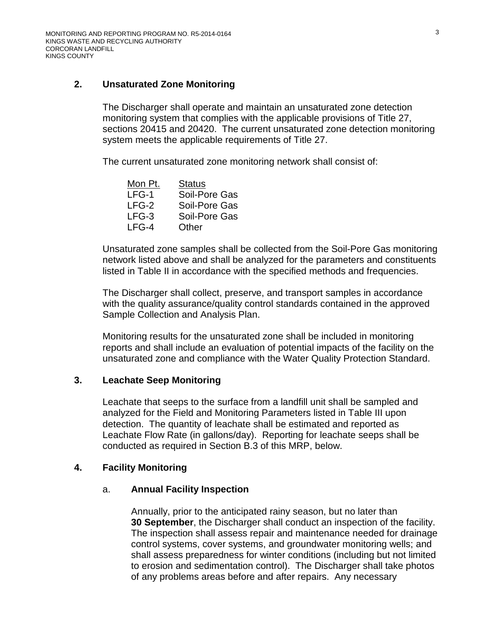## **2. Unsaturated Zone Monitoring**

The Discharger shall operate and maintain an unsaturated zone detection monitoring system that complies with the applicable provisions of Title 27, sections 20415 and 20420. The current unsaturated zone detection monitoring system meets the applicable requirements of Title 27.

The current unsaturated zone monitoring network shall consist of:

| Mon Pt. | <b>Status</b> |
|---------|---------------|
| LFG-1   | Soil-Pore Gas |
| LFG-2   | Soil-Pore Gas |
| $LFG-3$ | Soil-Pore Gas |
| LFG-4   | Other         |

Unsaturated zone samples shall be collected from the Soil-Pore Gas monitoring network listed above and shall be analyzed for the parameters and constituents listed in Table II in accordance with the specified methods and frequencies.

The Discharger shall collect, preserve, and transport samples in accordance with the quality assurance/quality control standards contained in the approved Sample Collection and Analysis Plan.

Monitoring results for the unsaturated zone shall be included in monitoring reports and shall include an evaluation of potential impacts of the facility on the unsaturated zone and compliance with the Water Quality Protection Standard.

## **3. Leachate Seep Monitoring**

Leachate that seeps to the surface from a landfill unit shall be sampled and analyzed for the Field and Monitoring Parameters listed in Table III upon detection. The quantity of leachate shall be estimated and reported as Leachate Flow Rate (in gallons/day). Reporting for leachate seeps shall be conducted as required in Section B[.3](#page-21-0) of this MRP, below.

## <span id="page-15-0"></span>**4. Facility Monitoring**

## a. **Annual Facility Inspection**

Annually, prior to the anticipated rainy season, but no later than **30 September**, the Discharger shall conduct an inspection of the facility. The inspection shall assess repair and maintenance needed for drainage control systems, cover systems, and groundwater monitoring wells; and shall assess preparedness for winter conditions (including but not limited to erosion and sedimentation control). The Discharger shall take photos of any problems areas before and after repairs. Any necessary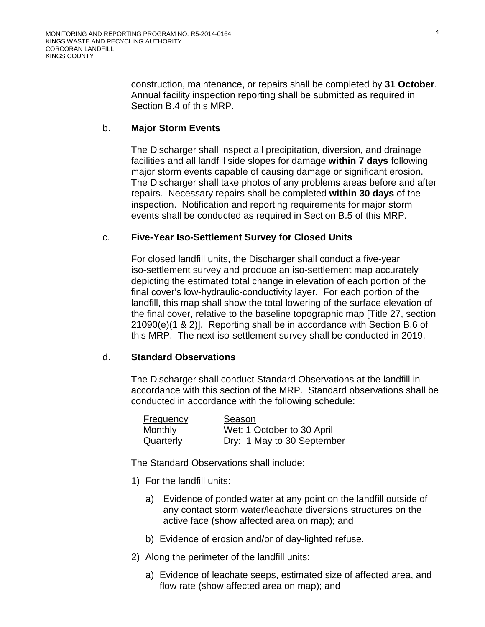construction, maintenance, or repairs shall be completed by **31 October**. Annual facility inspection reporting shall be submitted as required in Section B[.4](#page-21-1) of this MRP.

### <span id="page-16-1"></span>b. **Major Storm Events**

The Discharger shall inspect all precipitation, diversion, and drainage facilities and all landfill side slopes for damage **within 7 days** following major storm events capable of causing damage or significant erosion. The Discharger shall take photos of any problems areas before and after repairs. Necessary repairs shall be completed **within 30 days** of the inspection. Notification and reporting requirements for major storm events shall be conducted as required in Section B[.5](#page-21-2) of this MRP.

#### <span id="page-16-2"></span>c. **Five-Year Iso-Settlement Survey for Closed Units**

For closed landfill units, the Discharger shall conduct a five-year iso-settlement survey and produce an iso-settlement map accurately depicting the estimated total change in elevation of each portion of the final cover's low-hydraulic-conductivity layer. For each portion of the landfill, this map shall show the total lowering of the surface elevation of the final cover, relative to the baseline topographic map [Title 27, section 21090(e)(1 & 2)]. Reporting shall be in accordance with Section B[.6](#page-21-3) of this MRP. The next iso-settlement survey shall be conducted in 2019.

#### <span id="page-16-0"></span>d. **Standard Observations**

The Discharger shall conduct Standard Observations at the landfill in accordance with this section of the MRP. Standard observations shall be conducted in accordance with the following schedule:

| <b>Frequency</b> | Season                     |
|------------------|----------------------------|
| <b>Monthly</b>   | Wet: 1 October to 30 April |
| Quarterly        | Dry: 1 May to 30 September |

The Standard Observations shall include:

- 1) For the landfill units:
	- a) Evidence of ponded water at any point on the landfill outside of any contact storm water/leachate diversions structures on the active face (show affected area on map); and
	- b) Evidence of erosion and/or of day-lighted refuse.
- 2) Along the perimeter of the landfill units:
	- a) Evidence of leachate seeps, estimated size of affected area, and flow rate (show affected area on map); and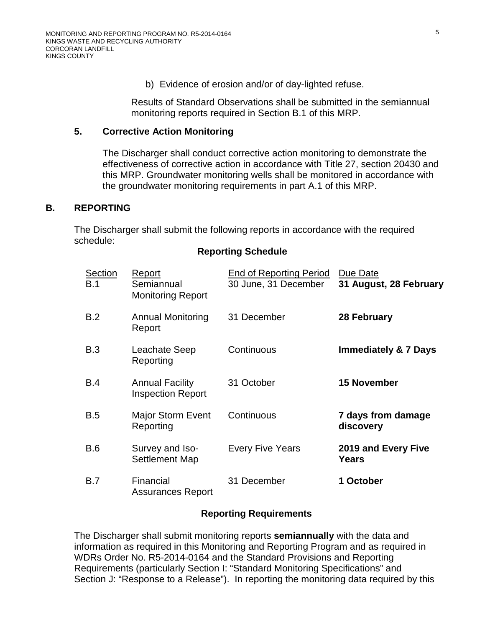b) Evidence of erosion and/or of day-lighted refuse.

Results of Standard Observations shall be submitted in the semiannual monitoring reports required in Section B.1 of this MRP.

### **5. Corrective Action Monitoring**

The Discharger shall conduct corrective action monitoring to demonstrate the effectiveness of corrective action in accordance with Title 27, section 20430 and this MRP. Groundwater monitoring wells shall be monitored in accordance with the groundwater monitoring requirements in part A.1 of this MRP.

### **B. REPORTING**

The Discharger shall submit the following reports in accordance with the required schedule:

### **Reporting Schedule**

| <b>Section</b><br><b>B.1</b> | Report<br>Semiannual<br><b>Monitoring Report</b>   | <b>End of Reporting Period</b><br>30 June, 31 December | Due Date<br>31 August, 28 February |
|------------------------------|----------------------------------------------------|--------------------------------------------------------|------------------------------------|
| B.2                          | <b>Annual Monitoring</b><br>Report                 | 31 December                                            | 28 February                        |
| B.3                          | Leachate Seep<br>Reporting                         | Continuous                                             | <b>Immediately &amp; 7 Days</b>    |
| B.4                          | <b>Annual Facility</b><br><b>Inspection Report</b> | 31 October                                             | <b>15 November</b>                 |
| B.5                          | <b>Major Storm Event</b><br>Reporting              | Continuous                                             | 7 days from damage<br>discovery    |
| B.6                          | Survey and Iso-<br><b>Settlement Map</b>           | <b>Every Five Years</b>                                | 2019 and Every Five<br>Years       |
| <b>B.7</b>                   | Financial<br><b>Assurances Report</b>              | 31 December                                            | 1 October                          |

### **Reporting Requirements**

The Discharger shall submit monitoring reports **semiannually** with the data and information as required in this Monitoring and Reporting Program and as required in WDRs Order No. R5-2014-0164 and the Standard Provisions and Reporting Requirements (particularly Section I: "Standard Monitoring Specifications" and Section J: "Response to a Release"). In reporting the monitoring data required by this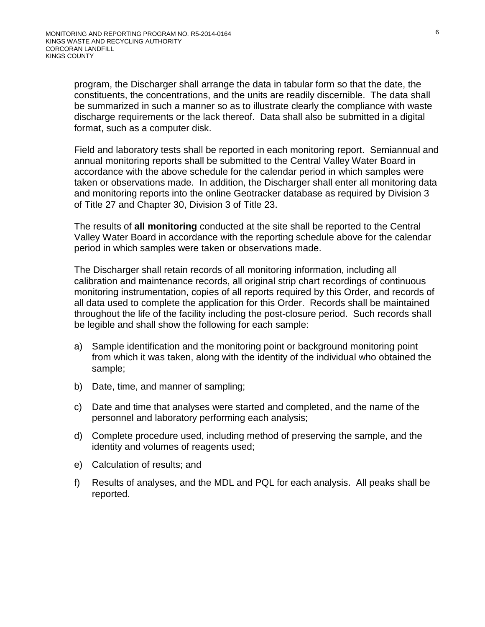program, the Discharger shall arrange the data in tabular form so that the date, the constituents, the concentrations, and the units are readily discernible. The data shall be summarized in such a manner so as to illustrate clearly the compliance with waste discharge requirements or the lack thereof. Data shall also be submitted in a digital format, such as a computer disk.

Field and laboratory tests shall be reported in each monitoring report. Semiannual and annual monitoring reports shall be submitted to the Central Valley Water Board in accordance with the above schedule for the calendar period in which samples were taken or observations made. In addition, the Discharger shall enter all monitoring data and monitoring reports into the online Geotracker database as required by Division 3 of Title 27 and Chapter 30, Division 3 of Title 23.

The results of **all monitoring** conducted at the site shall be reported to the Central Valley Water Board in accordance with the reporting schedule above for the calendar period in which samples were taken or observations made.

The Discharger shall retain records of all monitoring information, including all calibration and maintenance records, all original strip chart recordings of continuous monitoring instrumentation, copies of all reports required by this Order, and records of all data used to complete the application for this Order. Records shall be maintained throughout the life of the facility including the post-closure period. Such records shall be legible and shall show the following for each sample:

- a) Sample identification and the monitoring point or background monitoring point from which it was taken, along with the identity of the individual who obtained the sample;
- b) Date, time, and manner of sampling;
- c) Date and time that analyses were started and completed, and the name of the personnel and laboratory performing each analysis;
- d) Complete procedure used, including method of preserving the sample, and the identity and volumes of reagents used;
- e) Calculation of results; and
- f) Results of analyses, and the MDL and PQL for each analysis. All peaks shall be reported.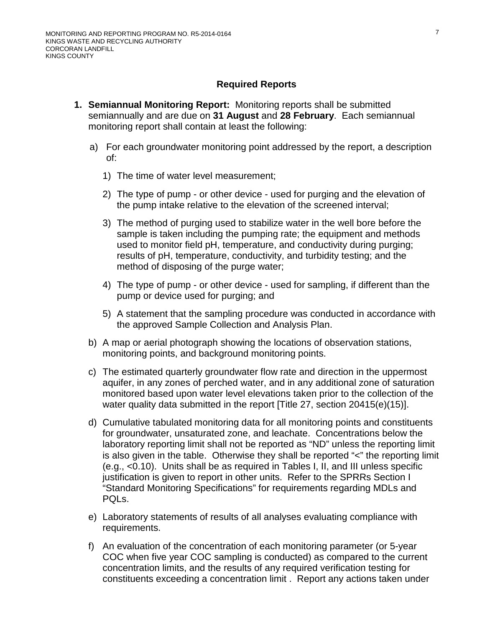### **Required Reports**

- **1. Semiannual Monitoring Report:** Monitoring reports shall be submitted semiannually and are due on **31 August** and **28 February**. Each semiannual monitoring report shall contain at least the following:
	- a) For each groundwater monitoring point addressed by the report, a description of:
		- 1) The time of water level measurement;
		- 2) The type of pump or other device used for purging and the elevation of the pump intake relative to the elevation of the screened interval;
		- 3) The method of purging used to stabilize water in the well bore before the sample is taken including the pumping rate; the equipment and methods used to monitor field pH, temperature, and conductivity during purging; results of pH, temperature, conductivity, and turbidity testing; and the method of disposing of the purge water;
		- 4) The type of pump or other device used for sampling, if different than the pump or device used for purging; and
		- 5) A statement that the sampling procedure was conducted in accordance with the approved Sample Collection and Analysis Plan.
	- b) A map or aerial photograph showing the locations of observation stations, monitoring points, and background monitoring points.
	- c) The estimated quarterly groundwater flow rate and direction in the uppermost aquifer, in any zones of perched water, and in any additional zone of saturation monitored based upon water level elevations taken prior to the collection of the water quality data submitted in the report [Title 27, section 20415(e)(15)].
	- d) Cumulative tabulated monitoring data for all monitoring points and constituents for groundwater, unsaturated zone, and leachate. Concentrations below the laboratory reporting limit shall not be reported as "ND" unless the reporting limit is also given in the table. Otherwise they shall be reported "<" the reporting limit (e.g., <0.10). Units shall be as required in Tables I, II, and III unless specific justification is given to report in other units. Refer to the SPRRs Section I "Standard Monitoring Specifications" for requirements regarding MDLs and PQLs.
	- e) Laboratory statements of results of all analyses evaluating compliance with requirements.
	- f) An evaluation of the concentration of each monitoring parameter (or 5-year COC when five year COC sampling is conducted) as compared to the current concentration limits, and the results of any required verification testing for constituents exceeding a concentration limit . Report any actions taken under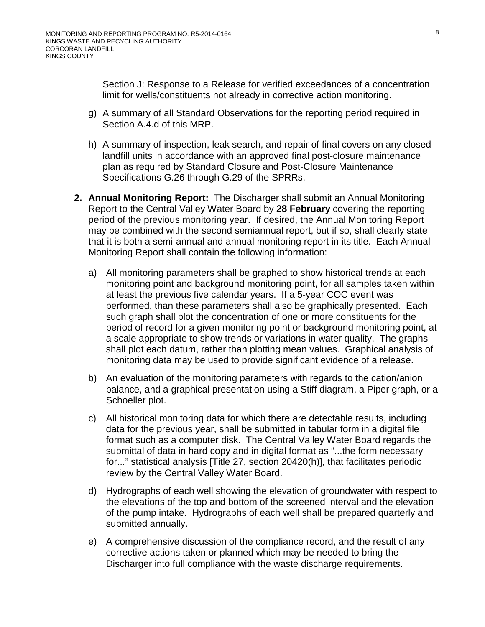Section J: Response to a Release for verified exceedances of a concentration limit for wells/constituents not already in corrective action monitoring.

- g) A summary of all Standard Observations for the reporting period required in Section A[.4.d](#page-16-0) of this MRP.
- h) A summary of inspection, leak search, and repair of final covers on any closed landfill units in accordance with an approved final post-closure maintenance plan as required by Standard Closure and Post-Closure Maintenance Specifications G.26 through G.29 of the SPRRs.
- **2. Annual Monitoring Report:** The Discharger shall submit an Annual Monitoring Report to the Central Valley Water Board by **28 February** covering the reporting period of the previous monitoring year. If desired, the Annual Monitoring Report may be combined with the second semiannual report, but if so, shall clearly state that it is both a semi-annual and annual monitoring report in its title. Each Annual Monitoring Report shall contain the following information:
	- a) All monitoring parameters shall be graphed to show historical trends at each monitoring point and background monitoring point, for all samples taken within at least the previous five calendar years. If a 5-year COC event was performed, than these parameters shall also be graphically presented. Each such graph shall plot the concentration of one or more constituents for the period of record for a given monitoring point or background monitoring point, at a scale appropriate to show trends or variations in water quality. The graphs shall plot each datum, rather than plotting mean values. Graphical analysis of monitoring data may be used to provide significant evidence of a release.
	- b) An evaluation of the monitoring parameters with regards to the cation/anion balance, and a graphical presentation using a Stiff diagram, a Piper graph, or a Schoeller plot.
	- c) All historical monitoring data for which there are detectable results, including data for the previous year, shall be submitted in tabular form in a digital file format such as a computer disk. The Central Valley Water Board regards the submittal of data in hard copy and in digital format as "...the form necessary for..." statistical analysis [Title 27, section 20420(h)], that facilitates periodic review by the Central Valley Water Board.
	- d) Hydrographs of each well showing the elevation of groundwater with respect to the elevations of the top and bottom of the screened interval and the elevation of the pump intake. Hydrographs of each well shall be prepared quarterly and submitted annually.
	- e) A comprehensive discussion of the compliance record, and the result of any corrective actions taken or planned which may be needed to bring the Discharger into full compliance with the waste discharge requirements.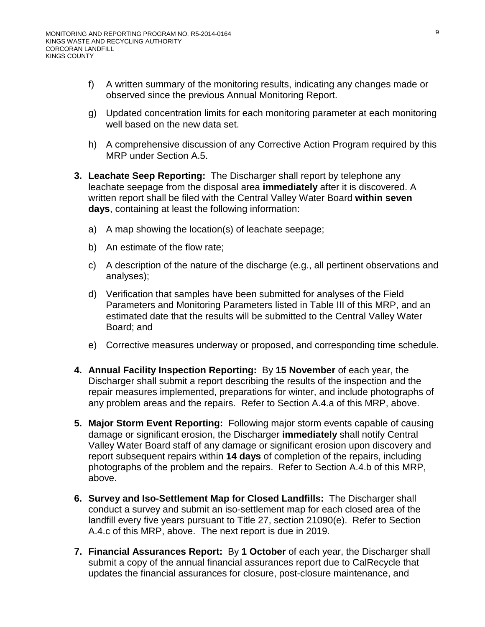- f) A written summary of the monitoring results, indicating any changes made or observed since the previous Annual Monitoring Report.
- g) Updated concentration limits for each monitoring parameter at each monitoring well based on the new data set.
- h) A comprehensive discussion of any Corrective Action Program required by this MRP under Section A.5.
- <span id="page-21-0"></span>**3. Leachate Seep Reporting:** The Discharger shall report by telephone any leachate seepage from the disposal area **immediately** after it is discovered. A written report shall be filed with the Central Valley Water Board **within seven days**, containing at least the following information:
	- a) A map showing the location(s) of leachate seepage;
	- b) An estimate of the flow rate;
	- c) A description of the nature of the discharge (e.g., all pertinent observations and analyses);
	- d) Verification that samples have been submitted for analyses of the Field Parameters and Monitoring Parameters listed in Table III of this MRP, and an estimated date that the results will be submitted to the Central Valley Water Board; and
	- e) Corrective measures underway or proposed, and corresponding time schedule.
- <span id="page-21-1"></span>**4. Annual Facility Inspection Reporting:** By **15 November** of each year, the Discharger shall submit a report describing the results of the inspection and the repair measures implemented, preparations for winter, and include photographs of any problem areas and the repairs. Refer to Section A[.4.a](#page-15-0) of this MRP, above.
- <span id="page-21-2"></span>**5. Major Storm Event Reporting:** Following major storm events capable of causing damage or significant erosion, the Discharger **immediately** shall notify Central Valley Water Board staff of any damage or significant erosion upon discovery and report subsequent repairs within **14 days** of completion of the repairs, including photographs of the problem and the repairs. Refer to Section A[.4.b](#page-16-1) of this MRP, above.
- <span id="page-21-3"></span>**6. Survey and Iso-Settlement Map for Closed Landfills:** The Discharger shall conduct a survey and submit an iso-settlement map for each closed area of the landfill every five years pursuant to Title 27, section 21090(e). Refer to Section A[.4.c](#page-16-2) of this MRP, above. The next report is due in 2019.
- **7. Financial Assurances Report:** By **1 October** of each year, the Discharger shall submit a copy of the annual financial assurances report due to CalRecycle that updates the financial assurances for closure, post-closure maintenance, and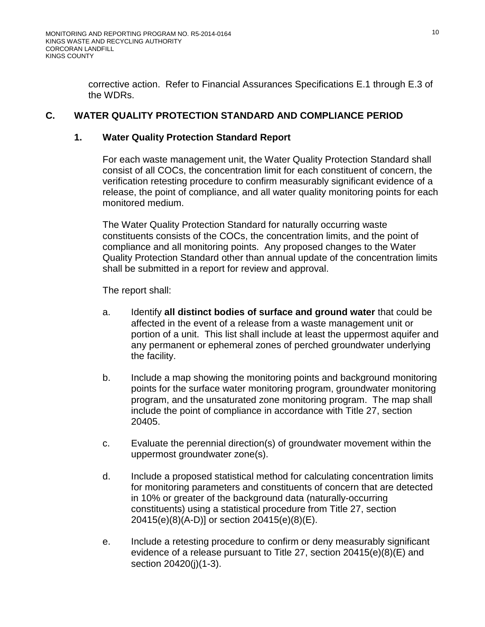corrective action. Refer to Financial Assurances Specifications E.1 through E.3 of the WDRs.

## **C. WATER QUALITY PROTECTION STANDARD AND COMPLIANCE PERIOD**

### **1. Water Quality Protection Standard Report**

For each waste management unit, the Water Quality Protection Standard shall consist of all COCs, the concentration limit for each constituent of concern, the verification retesting procedure to confirm measurably significant evidence of a release, the point of compliance, and all water quality monitoring points for each monitored medium.

The Water Quality Protection Standard for naturally occurring waste constituents consists of the COCs, the concentration limits, and the point of compliance and all monitoring points. Any proposed changes to the Water Quality Protection Standard other than annual update of the concentration limits shall be submitted in a report for review and approval.

The report shall:

- a. Identify **all distinct bodies of surface and ground water** that could be affected in the event of a release from a waste management unit or portion of a unit. This list shall include at least the uppermost aquifer and any permanent or ephemeral zones of perched groundwater underlying the facility.
- b. Include a map showing the monitoring points and background monitoring points for the surface water monitoring program, groundwater monitoring program, and the unsaturated zone monitoring program. The map shall include the point of compliance in accordance with Title 27, section 20405.
- c. Evaluate the perennial direction(s) of groundwater movement within the uppermost groundwater zone(s).
- d. Include a proposed statistical method for calculating concentration limits for monitoring parameters and constituents of concern that are detected in 10% or greater of the background data (naturally-occurring constituents) using a statistical procedure from Title 27, section 20415(e)(8)(A-D)] or section 20415(e)(8)(E).
- e. Include a retesting procedure to confirm or deny measurably significant evidence of a release pursuant to Title 27, section 20415(e)(8)(E) and section 20420(j)(1-3).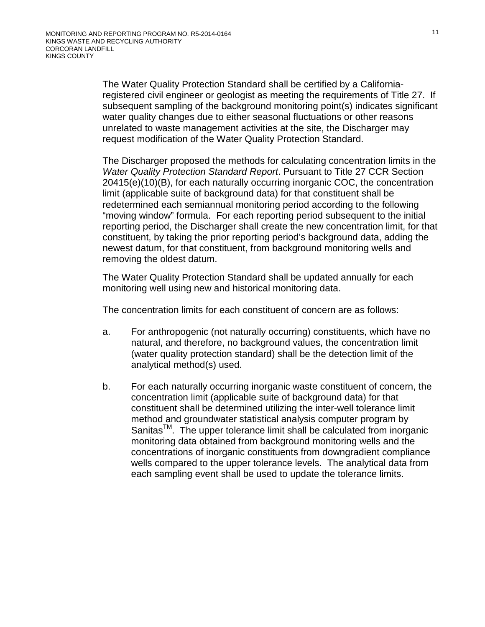The Water Quality Protection Standard shall be certified by a Californiaregistered civil engineer or geologist as meeting the requirements of Title 27. If subsequent sampling of the background monitoring point(s) indicates significant water quality changes due to either seasonal fluctuations or other reasons unrelated to waste management activities at the site, the Discharger may request modification of the Water Quality Protection Standard.

The Discharger proposed the methods for calculating concentration limits in the *Water Quality Protection Standard Report*. Pursuant to Title 27 CCR Section 20415(e)(10)(B), for each naturally occurring inorganic COC, the concentration limit (applicable suite of background data) for that constituent shall be redetermined each semiannual monitoring period according to the following "moving window" formula. For each reporting period subsequent to the initial reporting period, the Discharger shall create the new concentration limit, for that constituent, by taking the prior reporting period's background data, adding the newest datum, for that constituent, from background monitoring wells and removing the oldest datum.

The Water Quality Protection Standard shall be updated annually for each monitoring well using new and historical monitoring data.

The concentration limits for each constituent of concern are as follows:

- a. For anthropogenic (not naturally occurring) constituents, which have no natural, and therefore, no background values, the concentration limit (water quality protection standard) shall be the detection limit of the analytical method(s) used.
- b. For each naturally occurring inorganic waste constituent of concern, the concentration limit (applicable suite of background data) for that constituent shall be determined utilizing the inter-well tolerance limit method and groundwater statistical analysis computer program by Sanitas<sup>™</sup>. The upper tolerance limit shall be calculated from inorganic monitoring data obtained from background monitoring wells and the concentrations of inorganic constituents from downgradient compliance wells compared to the upper tolerance levels. The analytical data from each sampling event shall be used to update the tolerance limits.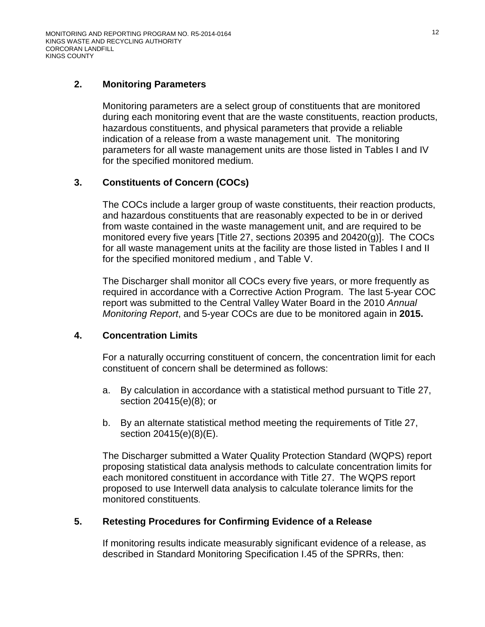## **2. Monitoring Parameters**

Monitoring parameters are a select group of constituents that are monitored during each monitoring event that are the waste constituents, reaction products, hazardous constituents, and physical parameters that provide a reliable indication of a release from a waste management unit. The monitoring parameters for all waste management units are those listed in Tables I and IV for the specified monitored medium.

## **3. Constituents of Concern (COCs)**

The COCs include a larger group of waste constituents, their reaction products, and hazardous constituents that are reasonably expected to be in or derived from waste contained in the waste management unit, and are required to be monitored every five years [Title 27, sections 20395 and 20420(g)]. The COCs for all waste management units at the facility are those listed in Tables I and II for the specified monitored medium , and Table V.

The Discharger shall monitor all COCs every five years, or more frequently as required in accordance with a Corrective Action Program. The last 5-year COC report was submitted to the Central Valley Water Board in the 2010 *Annual Monitoring Report*, and 5-year COCs are due to be monitored again in **2015.**

## **4. Concentration Limits**

For a naturally occurring constituent of concern, the concentration limit for each constituent of concern shall be determined as follows:

- a. By calculation in accordance with a statistical method pursuant to Title 27, section 20415(e)(8); or
- b. By an alternate statistical method meeting the requirements of Title 27, section 20415(e)(8)(E).

The Discharger submitted a Water Quality Protection Standard (WQPS) report proposing statistical data analysis methods to calculate concentration limits for each monitored constituent in accordance with Title 27. The WQPS report proposed to use Interwell data analysis to calculate tolerance limits for the monitored constituents.

## **5. Retesting Procedures for Confirming Evidence of a Release**

If monitoring results indicate measurably significant evidence of a release, as described in Standard Monitoring Specification I.45 of the SPRRs, then: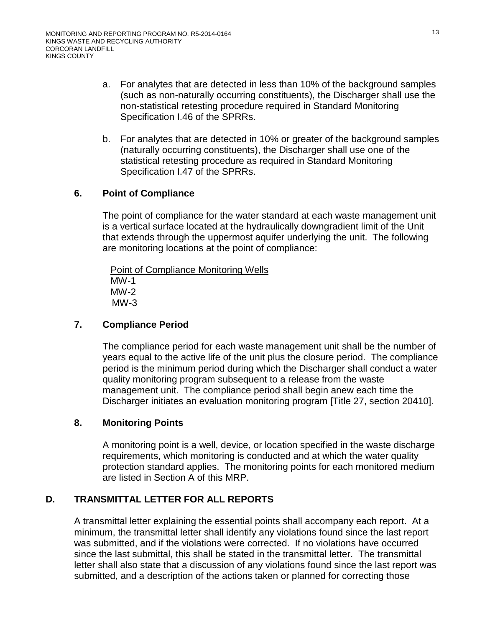- a. For analytes that are detected in less than 10% of the background samples (such as non-naturally occurring constituents), the Discharger shall use the non-statistical retesting procedure required in Standard Monitoring Specification I.46 of the SPRRs.
- b. For analytes that are detected in 10% or greater of the background samples (naturally occurring constituents), the Discharger shall use one of the statistical retesting procedure as required in Standard Monitoring Specification I.47 of the SPRRs.

## **6. Point of Compliance**

The point of compliance for the water standard at each waste management unit is a vertical surface located at the hydraulically downgradient limit of the Unit that extends through the uppermost aquifer underlying the unit. The following are monitoring locations at the point of compliance:

Point of Compliance Monitoring Wells MW-1 MW-2 MW-3

## **7. Compliance Period**

The compliance period for each waste management unit shall be the number of years equal to the active life of the unit plus the closure period. The compliance period is the minimum period during which the Discharger shall conduct a water quality monitoring program subsequent to a release from the waste management unit. The compliance period shall begin anew each time the Discharger initiates an evaluation monitoring program [Title 27, section 20410].

## **8. Monitoring Points**

A monitoring point is a well, device, or location specified in the waste discharge requirements, which monitoring is conducted and at which the water quality protection standard applies. The monitoring points for each monitored medium are listed in Section A of this MRP.

## **D. TRANSMITTAL LETTER FOR ALL REPORTS**

A transmittal letter explaining the essential points shall accompany each report. At a minimum, the transmittal letter shall identify any violations found since the last report was submitted, and if the violations were corrected. If no violations have occurred since the last submittal, this shall be stated in the transmittal letter. The transmittal letter shall also state that a discussion of any violations found since the last report was submitted, and a description of the actions taken or planned for correcting those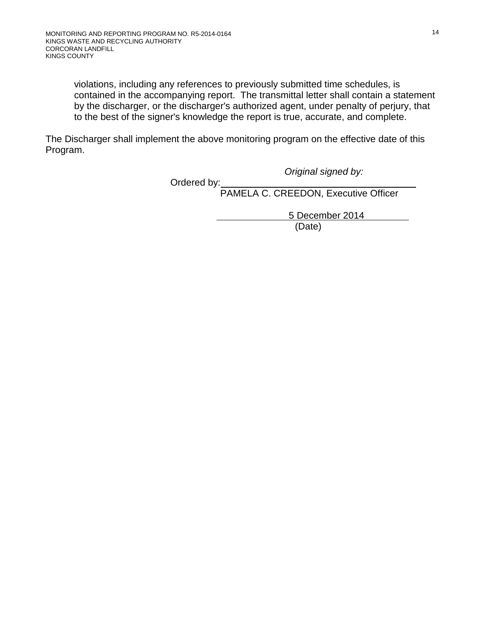violations, including any references to previously submitted time schedules, is contained in the accompanying report. The transmittal letter shall contain a statement by the discharger, or the discharger's authorized agent, under penalty of perjury, that to the best of the signer's knowledge the report is true, accurate, and complete.

The Discharger shall implement the above monitoring program on the effective date of this Program.

Ordered by:

*Original signed by:*

PAMELA C. CREEDON, Executive Officer

 5 December 2014 (Date)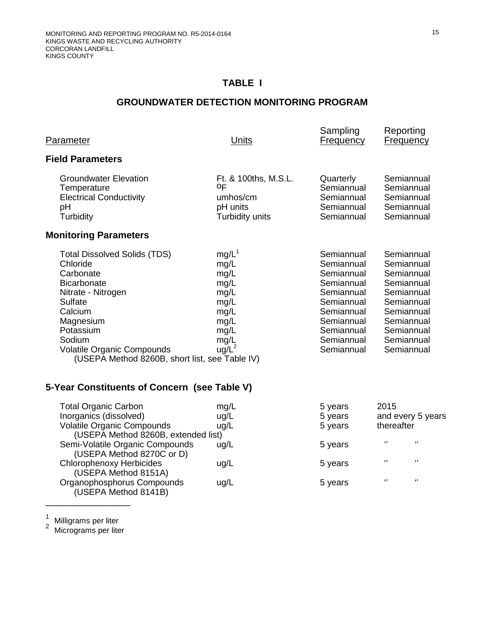## **TABLE I**

## **GROUNDWATER DETECTION MONITORING PROGRAM**

| Parameter                                                                                                                                                                                                                                                                                                        | <b>Units</b>                                                                                 | Sampling<br><b>Frequency</b>                                                                                                                           | Reporting<br><b>Frequency</b>                                                                                                                          |
|------------------------------------------------------------------------------------------------------------------------------------------------------------------------------------------------------------------------------------------------------------------------------------------------------------------|----------------------------------------------------------------------------------------------|--------------------------------------------------------------------------------------------------------------------------------------------------------|--------------------------------------------------------------------------------------------------------------------------------------------------------|
| <b>Field Parameters</b>                                                                                                                                                                                                                                                                                          |                                                                                              |                                                                                                                                                        |                                                                                                                                                        |
| <b>Groundwater Elevation</b><br>Temperature<br><b>Electrical Conductivity</b><br>pH<br>Turbidity                                                                                                                                                                                                                 | Ft. & 100ths, M.S.L.<br>ΟF<br>umhos/cm<br>pH units<br>Turbidity units                        | Quarterly<br>Semiannual<br>Semiannual<br>Semiannual<br>Semiannual                                                                                      | Semiannual<br>Semiannual<br>Semiannual<br>Semiannual<br>Semiannual                                                                                     |
| <b>Monitoring Parameters</b>                                                                                                                                                                                                                                                                                     |                                                                                              |                                                                                                                                                        |                                                                                                                                                        |
| <b>Total Dissolved Solids (TDS)</b><br>Chloride<br>Carbonate<br><b>Bicarbonate</b><br>Nitrate - Nitrogen<br><b>Sulfate</b><br>Calcium<br>Magnesium<br>Potassium<br>Sodium<br><b>Volatile Organic Compounds</b><br>(USEPA Method 8260B, short list, see Table IV)<br>5-Year Constituents of Concern (see Table V) | $mg/L^1$<br>mg/L<br>mg/L<br>mg/L<br>mg/L<br>mg/L<br>mg/L<br>mg/L<br>mg/L<br>mg/L<br>$ug/L^2$ | Semiannual<br>Semiannual<br>Semiannual<br>Semiannual<br>Semiannual<br>Semiannual<br>Semiannual<br>Semiannual<br>Semiannual<br>Semiannual<br>Semiannual | Semiannual<br>Semiannual<br>Semiannual<br>Semiannual<br>Semiannual<br>Semiannual<br>Semiannual<br>Semiannual<br>Semiannual<br>Semiannual<br>Semiannual |
|                                                                                                                                                                                                                                                                                                                  |                                                                                              |                                                                                                                                                        |                                                                                                                                                        |
| <b>Total Organic Carbon</b><br>Inorganics (dissolved)<br><b>Volatile Organic Compounds</b><br>(USEPA Method 8260B, extended list)<br>Semi-Volatile Organic Compounds                                                                                                                                             | mg/L<br>ug/L<br>ug/L                                                                         | 5 years<br>5 years<br>5 years<br>5 years                                                                                                               | 2015<br>and every 5 years<br>thereafter<br>$\mathbf{G}$<br>$\mathbf{G}$                                                                                |
| (USEPA Method 8270C or D)<br><b>Chlorophenoxy Herbicides</b><br>(USEPA Method 8151A)                                                                                                                                                                                                                             | ug/L<br>ug/L                                                                                 | 5 years                                                                                                                                                | $\epsilon$<br>$\mathbf{G}$                                                                                                                             |

Organophosphorus Compounds ug/L 5 years '' '' ''

 $\frac{1}{2}$ 

 $\overline{\phantom{a}}$  , where  $\overline{\phantom{a}}$ 

(USEPA Method 8141B)

 $\frac{1}{2}$  Milligrams per liter<br><sup>2</sup> Micrograms per liter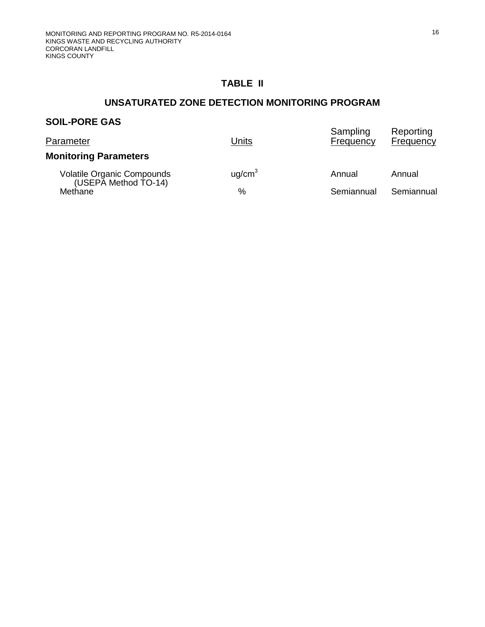## **TABLE II**

## **UNSATURATED ZONE DETECTION MONITORING PROGRAM**

## **SOIL-PORE GAS**

| Parameter                                          | Units              | Sampling<br>Frequency | Reporting<br>Frequency |
|----------------------------------------------------|--------------------|-----------------------|------------------------|
| <b>Monitoring Parameters</b>                       |                    |                       |                        |
| Volatile Organic Compounds<br>(USEPA Method TO-14) | uq/cm <sup>3</sup> | Annual                | Annual                 |
| Methane                                            | %                  | Semiannual            | Semiannual             |
|                                                    |                    |                       |                        |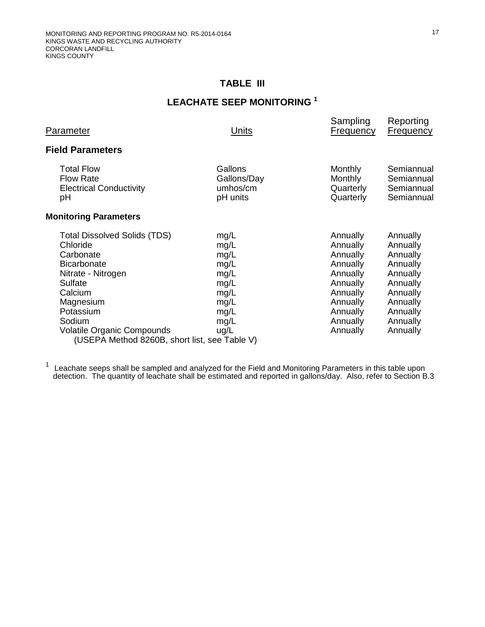## **TABLE III**

# **LEACHATE SEEP MONITORING <sup>1</sup>**

| Parameter                                                                                                                                                                                                                                                | Units                                                                                | Sampling<br>Frequency                                                                                                            | Reporting<br><b>Frequency</b>                                                                                                    |
|----------------------------------------------------------------------------------------------------------------------------------------------------------------------------------------------------------------------------------------------------------|--------------------------------------------------------------------------------------|----------------------------------------------------------------------------------------------------------------------------------|----------------------------------------------------------------------------------------------------------------------------------|
| <b>Field Parameters</b>                                                                                                                                                                                                                                  |                                                                                      |                                                                                                                                  |                                                                                                                                  |
| <b>Total Flow</b><br><b>Flow Rate</b><br><b>Electrical Conductivity</b><br>рH                                                                                                                                                                            | Gallons<br>Gallons/Day<br>umhos/cm<br>pH units                                       | Monthly<br>Monthly<br>Quarterly<br>Quarterly                                                                                     | Semiannual<br>Semiannual<br>Semiannual<br>Semiannual                                                                             |
| <b>Monitoring Parameters</b>                                                                                                                                                                                                                             |                                                                                      |                                                                                                                                  |                                                                                                                                  |
| <b>Total Dissolved Solids (TDS)</b><br>Chloride<br>Carbonate<br><b>Bicarbonate</b><br>Nitrate - Nitrogen<br>Sulfate<br>Calcium<br>Magnesium<br>Potassium<br>Sodium<br><b>Volatile Organic Compounds</b><br>(USEPA Method 8260B, short list, see Table V) | mg/L<br>mg/L<br>mg/L<br>mg/L<br>mg/L<br>mg/L<br>mg/L<br>mg/L<br>mg/L<br>mg/L<br>ug/L | Annually<br>Annually<br>Annually<br>Annually<br>Annually<br>Annually<br>Annually<br>Annually<br>Annually<br>Annually<br>Annually | Annually<br>Annually<br>Annually<br>Annually<br>Annually<br>Annually<br>Annually<br>Annually<br>Annually<br>Annually<br>Annually |

<sup>1</sup> Leachate seeps shall be sampled and analyzed for the Field and Monitoring Parameters in this table upon detection. The quantity of leachate shall be estimated and reported in gallons/day. Also, refer to Section B[.3](#page-21-0)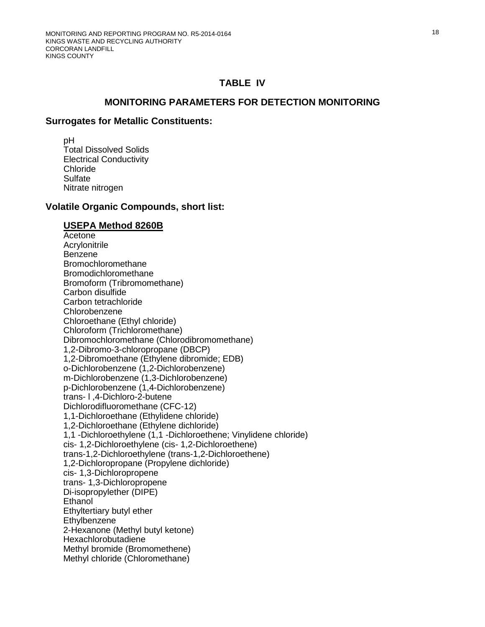### **MONITORING PARAMETERS FOR DETECTION MONITORING**

#### **Surrogates for Metallic Constituents:**

 pH Total Dissolved Solids Electrical Conductivity Chloride **Sulfate** Nitrate nitrogen

#### **Volatile Organic Compounds, short list:**

#### **USEPA Method 8260B**

Acetone Acrylonitrile Benzene Bromochloromethane Bromodichloromethane Bromoform (Tribromomethane) Carbon disulfide Carbon tetrachloride Chlorobenzene Chloroethane (Ethyl chloride) Chloroform (Trichloromethane) Dibromochloromethane (Chlorodibromomethane) 1,2-Dibromo-3-chloropropane (DBCP) 1,2-Dibromoethane (Ethylene dibromide; EDB) o-Dichlorobenzene (1,2-Dichlorobenzene) m-Dichlorobenzene (1,3-Dichlorobenzene) p-Dichlorobenzene (1,4-Dichlorobenzene) trans- l ,4-Dichloro-2-butene Dichlorodifluoromethane (CFC-12) 1,1-Dichloroethane (Ethylidene chloride) 1,2-Dichloroethane (Ethylene dichloride) 1,1 -Dichloroethylene (1,1 -Dichloroethene; Vinylidene chloride) cis- 1,2-Dichloroethylene (cis- 1,2-Dichloroethene) trans-1,2-Dichloroethylene (trans-1,2-Dichloroethene) 1,2-Dichloropropane (Propylene dichloride) cis- 1,3-Dichloropropene trans- 1,3-Dichloropropene Di-isopropylether (DIPE) Ethanol Ethyltertiary butyl ether **Ethylbenzene**  2-Hexanone (Methyl butyl ketone) Hexachlorobutadiene Methyl bromide (Bromomethene) Methyl chloride (Chloromethane)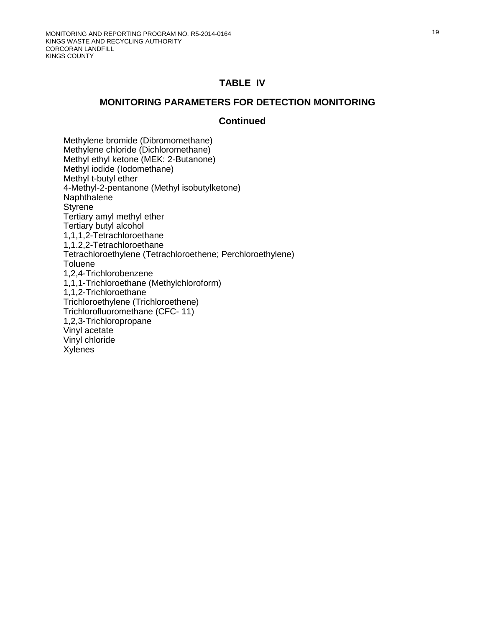#### **MONITORING PARAMETERS FOR DETECTION MONITORING**

#### **Continued**

Methylene bromide (Dibromomethane) Methylene chloride (Dichloromethane) Methyl ethyl ketone (MEK: 2-Butanone) Methyl iodide (Iodomethane) Methyl t-butyl ether 4-Methyl-2-pentanone (Methyl isobutylketone) Naphthalene Styrene Tertiary amyl methyl ether Tertiary butyl alcohol 1,1,1,2-Tetrachloroethane 1,1.2,2-Tetrachloroethane Tetrachloroethylene (Tetrachloroethene; Perchloroethylene) **Toluene** 1,2,4-Trichlorobenzene 1,1,1-Trichloroethane (Methylchloroform) 1,1,2-Trichloroethane Trichloroethylene (Trichloroethene) Trichlorofluoromethane (CFC- 11) 1,2,3-Trichloropropane Vinyl acetate Vinyl chloride Xylenes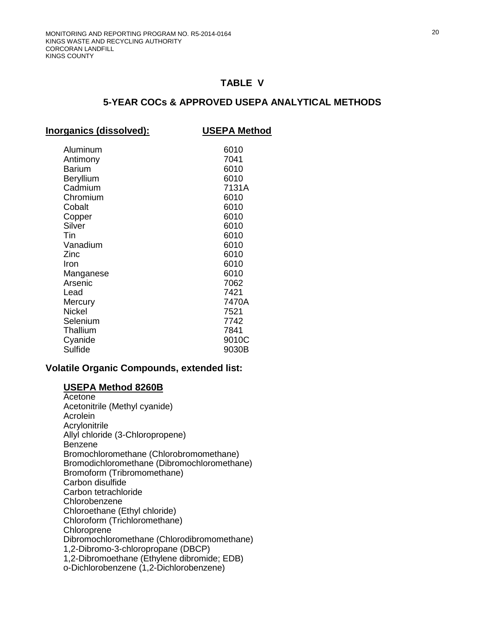### **5-YEAR COCs & APPROVED USEPA ANALYTICAL METHODS**

| Inorganics (dissolved):                                                                                                                                                                                                                          | <b>USEPA Method</b>                                                                                                                                                     |
|--------------------------------------------------------------------------------------------------------------------------------------------------------------------------------------------------------------------------------------------------|-------------------------------------------------------------------------------------------------------------------------------------------------------------------------|
| Aluminum<br>Antimony<br><b>Barium</b><br><b>Beryllium</b><br>Cadmium<br>Chromium<br>Cobalt<br>Copper<br>Silver<br>Tin<br>Vanadium<br>Zinc<br>Iron<br>Manganese<br>Arsenic<br>Lead<br>Mercury<br><b>Nickel</b><br>Selenium<br>Thallium<br>Cyanide | 6010<br>7041<br>6010<br>6010<br>7131A<br>6010<br>6010<br>6010<br>6010<br>6010<br>6010<br>6010<br>6010<br>6010<br>7062<br>7421<br>7470A<br>7521<br>7742<br>7841<br>9010C |
| Sulfide                                                                                                                                                                                                                                          | 9030B                                                                                                                                                                   |

#### **Volatile Organic Compounds, extended list:**

#### **USEPA Method 8260B**

Acetone Acetonitrile (Methyl cyanide) Acrolein Acrylonitrile Allyl chloride (3-Chloropropene) Benzene Bromochloromethane (Chlorobromomethane) Bromodichloromethane (Dibromochloromethane) Bromoform (Tribromomethane) Carbon disulfide Carbon tetrachloride Chlorobenzene Chloroethane (Ethyl chloride) Chloroform (Trichloromethane) **Chloroprene** Dibromochloromethane (Chlorodibromomethane) 1,2-Dibromo-3-chloropropane (DBCP) 1,2-Dibromoethane (Ethylene dibromide; EDB) o-Dichlorobenzene (1,2-Dichlorobenzene)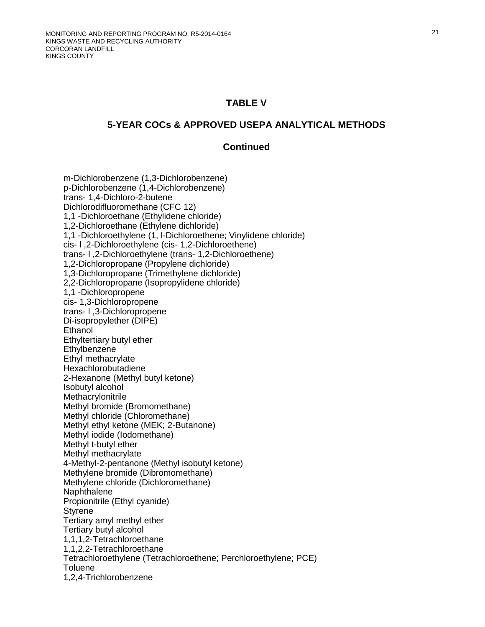#### **5-YEAR COCs & APPROVED USEPA ANALYTICAL METHODS**

#### **Continued**

 m-Dichlorobenzene (1,3-Dichlorobenzene) p-Dichlorobenzene (1,4-Dichlorobenzene) trans- 1,4-Dichloro-2-butene Dichlorodifluoromethane (CFC 12) 1,1 -Dichloroethane (Ethylidene chloride) 1,2-Dichloroethane (Ethylene dichloride) 1,1 -Dichloroethylene (1, l-Dichloroethene; Vinylidene chloride) cis- l ,2-Dichloroethylene (cis- 1,2-Dichloroethene) trans- l ,2-Dichloroethylene (trans- 1,2-Dichloroethene) 1,2-Dichloropropane (Propylene dichloride) 1,3-Dichloropropane (Trimethylene dichloride) 2,2-Dichloropropane (Isopropylidene chloride) 1,1 -Dichloropropene cis- 1,3-Dichloropropene trans- l ,3-Dichloropropene Di-isopropylether (DIPE) **Ethanol** Ethyltertiary butyl ether **Ethylbenzene** Ethyl methacrylate Hexachlorobutadiene 2-Hexanone (Methyl butyl ketone) Isobutyl alcohol **Methacrylonitrile** Methyl bromide (Bromomethane) Methyl chloride (Chloromethane) Methyl ethyl ketone (MEK; 2-Butanone) Methyl iodide (Iodomethane) Methyl t-butyl ether Methyl methacrylate 4-Methyl-2-pentanone (Methyl isobutyl ketone) Methylene bromide (Dibromomethane) Methylene chloride (Dichloromethane) **Naphthalene** Propionitrile (Ethyl cyanide) **Styrene** Tertiary amyl methyl ether Tertiary butyl alcohol 1,1,1,2-Tetrachloroethane 1,1,2,2-Tetrachloroethane Tetrachloroethylene (Tetrachloroethene; Perchloroethylene; PCE) **Toluene** 1,2,4-Trichlorobenzene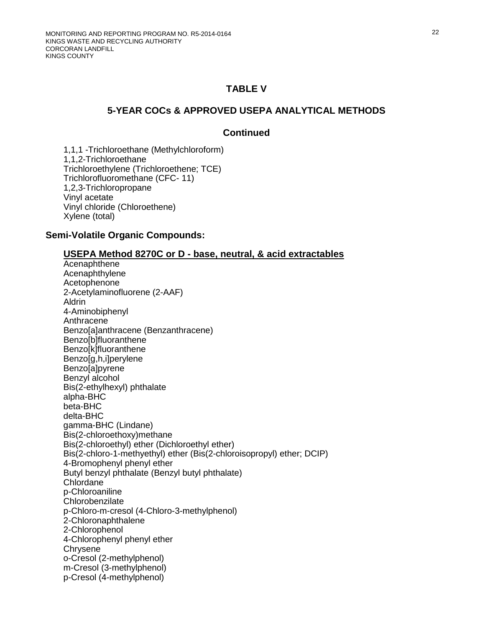### **5-YEAR COCs & APPROVED USEPA ANALYTICAL METHODS**

### **Continued**

1,1,1 -Trichloroethane (Methylchloroform) 1,1,2-Trichloroethane Trichloroethylene (Trichloroethene; TCE) Trichlorofluoromethane (CFC- 11) 1,2,3-Trichloropropane Vinyl acetate Vinyl chloride (Chloroethene) Xylene (total)

#### **Semi-Volatile Organic Compounds:**

#### **USEPA Method 8270C or D - base, neutral, & acid extractables**

Acenaphthene Acenaphthylene Acetophenone 2-Acetylaminofluorene (2-AAF) Aldrin 4-Aminobiphenyl Anthracene Benzo[a]anthracene (Benzanthracene) Benzo[b]fluoranthene Benzo[k]fluoranthene Benzo[g,h,i]perylene Benzo[a]pyrene Benzyl alcohol Bis(2-ethylhexyl) phthalate alpha-BHC beta-BHC delta-BHC gamma-BHC (Lindane) Bis(2-chloroethoxy)methane Bis(2-chloroethyl) ether (Dichloroethyl ether) Bis(2-chloro-1-methyethyl) ether (Bis(2-chloroisopropyl) ether; DCIP) 4-Bromophenyl phenyl ether Butyl benzyl phthalate (Benzyl butyl phthalate) Chlordane p-Chloroaniline Chlorobenzilate p-Chloro-m-cresol (4-Chloro-3-methylphenol) 2-Chloronaphthalene 2-Chlorophenol 4-Chlorophenyl phenyl ether **Chrysene** o-Cresol (2-methylphenol) m-Cresol (3-methylphenol) p-Cresol (4-methylphenol)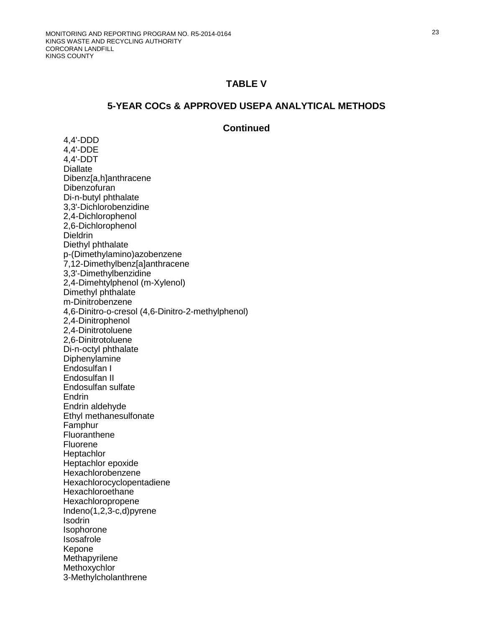#### **5-YEAR COCs & APPROVED USEPA ANALYTICAL METHODS**

#### **Continued**

4,4'-DDD 4,4'-DDE 4,4'-DDT **Diallate** Dibenz[a,h]anthracene **Dibenzofuran** Di-n-butyl phthalate 3,3'-Dichlorobenzidine 2,4-Dichlorophenol 2,6-Dichlorophenol **Dieldrin** Diethyl phthalate p-(Dimethylamino)azobenzene 7,12-Dimethylbenz[a]anthracene 3,3'-Dimethylbenzidine 2,4-Dimehtylphenol (m-Xylenol) Dimethyl phthalate m-Dinitrobenzene 4,6-Dinitro-o-cresol (4,6-Dinitro-2-methylphenol) 2,4-Dinitrophenol 2,4-Dinitrotoluene 2,6-Dinitrotoluene Di-n-octyl phthalate **Diphenylamine** Endosulfan I Endosulfan II Endosulfan sulfate **Endrin** Endrin aldehyde Ethyl methanesulfonate Famphur Fluoranthene **Fluorene Heptachlor** Heptachlor epoxide Hexachlorobenzene Hexachlorocyclopentadiene **Hexachloroethane** Hexachloropropene Indeno(1,2,3-c,d)pyrene **Isodrin** Isophorone Isosafrole Kepone **Methapyrilene Methoxychlor** 3-Methylcholanthrene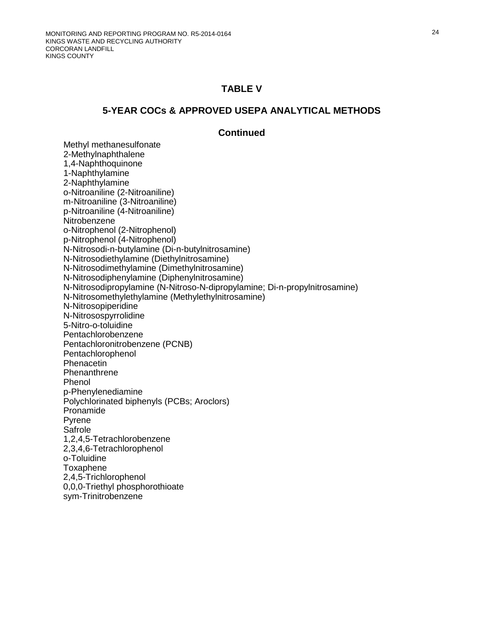#### **5-YEAR COCs & APPROVED USEPA ANALYTICAL METHODS**

#### **Continued**

Methyl methanesulfonate 2-Methylnaphthalene 1,4-Naphthoquinone 1-Naphthylamine 2-Naphthylamine o-Nitroaniline (2-Nitroaniline) m-Nitroaniline (3-Nitroaniline) p-Nitroaniline (4-Nitroaniline) **Nitrobenzene**  o-Nitrophenol (2-Nitrophenol) p-Nitrophenol (4-Nitrophenol) N-Nitrosodi-n-butylamine (Di-n-butylnitrosamine) N-Nitrosodiethylamine (Diethylnitrosamine) N-Nitrosodimethylamine (Dimethylnitrosamine) N-Nitrosodiphenylamine (Diphenylnitrosamine) N-Nitrosodipropylamine (N-Nitroso-N-dipropylamine; Di-n-propylnitrosamine) N-Nitrosomethylethylamine (Methylethylnitrosamine) N-Nitrosopiperidine N-Nitrosospyrrolidine 5-Nitro-o-toluidine Pentachlorobenzene Pentachloronitrobenzene (PCNB) Pentachlorophenol Phenacetin **Phenanthrene** Phenol p-Phenylenediamine Polychlorinated biphenyls (PCBs; Aroclors) Pronamide Pyrene Safrole 1,2,4,5-Tetrachlorobenzene 2,3,4,6-Tetrachlorophenol o-Toluidine Toxaphene 2,4,5-Trichlorophenol 0,0,0-Triethyl phosphorothioate sym-Trinitrobenzene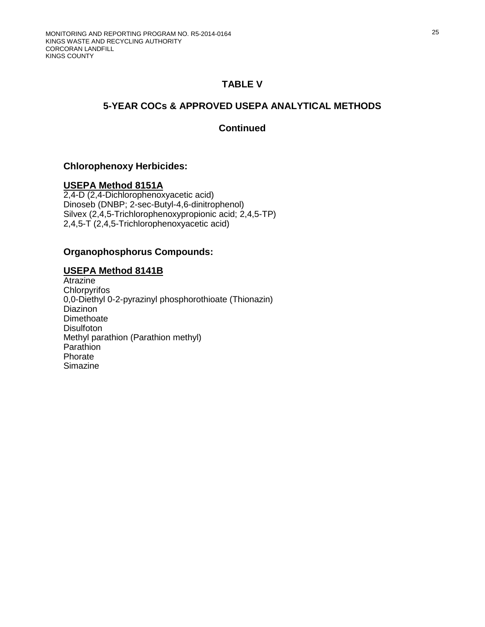## **5-YEAR COCs & APPROVED USEPA ANALYTICAL METHODS**

### **Continued**

### **Chlorophenoxy Herbicides:**

#### **USEPA Method 8151A**

2,4-D (2,4-Dichlorophenoxyacetic acid) Dinoseb (DNBP; 2-sec-Butyl-4,6-dinitrophenol) Silvex (2,4,5-Trichlorophenoxypropionic acid; 2,4,5-TP) 2,4,5-T (2,4,5-Trichlorophenoxyacetic acid)

#### **Organophosphorus Compounds:**

### **USEPA Method 8141B**

Atrazine **Chlorpyrifos** 0,0-Diethyl 0-2-pyrazinyl phosphorothioate (Thionazin) Diazinon **Dimethoate Disulfoton** Methyl parathion (Parathion methyl) **Parathion** Phorate Simazine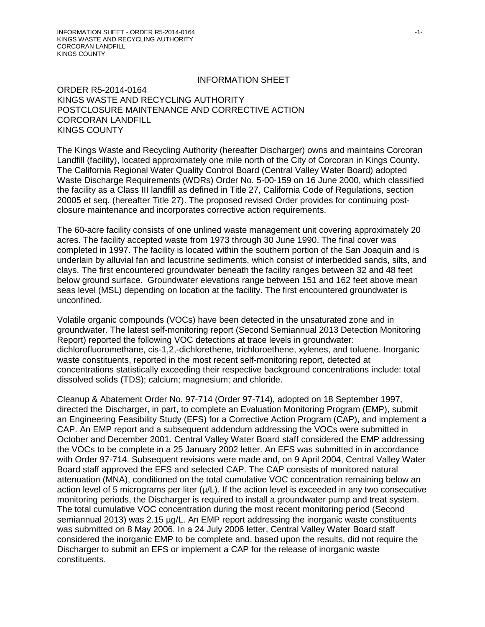#### INFORMATION SHEET

ORDER R5-2014-0164 KINGS WASTE AND RECYCLING AUTHORITY POSTCLOSURE MAINTENANCE AND CORRECTIVE ACTION CORCORAN LANDFILL KINGS COUNTY

The Kings Waste and Recycling Authority (hereafter Discharger) owns and maintains Corcoran Landfill (facility), located approximately one mile north of the City of Corcoran in Kings County. The California Regional Water Quality Control Board (Central Valley Water Board) adopted Waste Discharge Requirements (WDRs) Order No. 5-00-159 on 16 June 2000, which classified the facility as a Class III landfill as defined in Title 27, California Code of Regulations, section 20005 et seq. (hereafter Title 27). The proposed revised Order provides for continuing postclosure maintenance and incorporates corrective action requirements.

The 60-acre facility consists of one unlined waste management unit covering approximately 20 acres. The facility accepted waste from 1973 through 30 June 1990. The final cover was completed in 1997. The facility is located within the southern portion of the San Joaquin and is underlain by alluvial fan and lacustrine sediments, which consist of interbedded sands, silts, and clays. The first encountered groundwater beneath the facility ranges between 32 and 48 feet below ground surface. Groundwater elevations range between 151 and 162 feet above mean seas level (MSL) depending on location at the facility. The first encountered groundwater is unconfined.

Volatile organic compounds (VOCs) have been detected in the unsaturated zone and in groundwater. The latest self-monitoring report (Second Semiannual 2013 Detection Monitoring Report) reported the following VOC detections at trace levels in groundwater: dichlorofluoromethane, cis-1,2,-dichlorethene, trichloroethene, xylenes, and toluene. Inorganic waste constituents, reported in the most recent self-monitoring report, detected at concentrations statistically exceeding their respective background concentrations include: total dissolved solids (TDS); calcium; magnesium; and chloride.

Cleanup & Abatement Order No. 97-714 (Order 97-714), adopted on 18 September 1997, directed the Discharger, in part, to complete an Evaluation Monitoring Program (EMP), submit an Engineering Feasibility Study (EFS) for a Corrective Action Program (CAP), and implement a CAP. An EMP report and a subsequent addendum addressing the VOCs were submitted in October and December 2001. Central Valley Water Board staff considered the EMP addressing the VOCs to be complete in a 25 January 2002 letter. An EFS was submitted in in accordance with Order 97-714. Subsequent revisions were made and, on 9 April 2004, Central Valley Water Board staff approved the EFS and selected CAP. The CAP consists of monitored natural attenuation (MNA), conditioned on the total cumulative VOC concentration remaining below an action level of 5 micrograms per liter  $(\mu/L)$ . If the action level is exceeded in any two consecutive monitoring periods, the Discharger is required to install a groundwater pump and treat system. The total cumulative VOC concentration during the most recent monitoring period (Second semiannual 2013) was 2.15 µg/L. An EMP report addressing the inorganic waste constituents was submitted on 8 May 2006. In a 24 July 2006 letter, Central Valley Water Board staff considered the inorganic EMP to be complete and, based upon the results, did not require the Discharger to submit an EFS or implement a CAP for the release of inorganic waste constituents.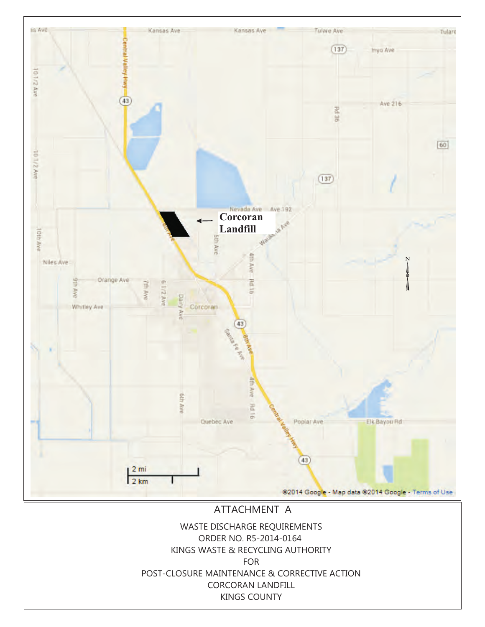